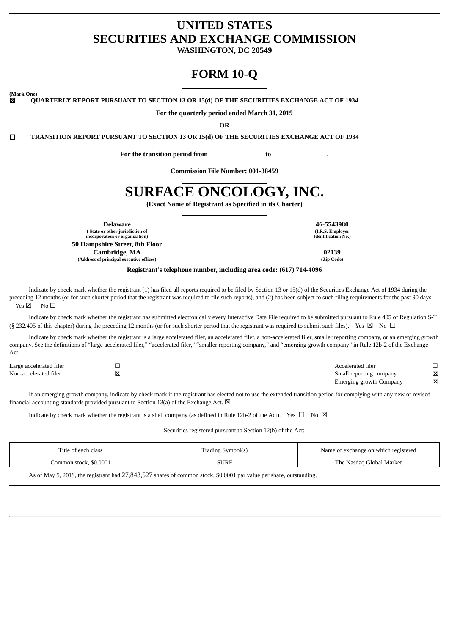# **UNITED STATES SECURITIES AND EXCHANGE COMMISSION**

**WASHINGTON, DC 20549**

# **FORM 10-Q**

**(Mark One)**

☒ **QUARTERLY REPORT PURSUANT TO SECTION 13 OR 15(d) OF THE SECURITIES EXCHANGE ACT OF 1934**

**For the quarterly period ended March 31, 2019**

**OR**

☐ **TRANSITION REPORT PURSUANT TO SECTION 13 OR 15(d) OF THE SECURITIES EXCHANGE ACT OF 1934**

**For the transition period from \_\_\_\_\_\_\_\_\_\_\_\_\_\_\_\_ to \_\_\_\_\_\_\_\_\_\_\_\_\_\_\_\_.**

**Commission File Number: 001-38459**

# **SURFACE ONCOLOGY, INC.**

**(Exact Name of Registrant as Specified in its Charter)**

**( State or other jurisdiction of incorporation or organization) 50 Hampshire Street, 8th Floor Cambridge, MA** 02139<br> **O2139**<br> **Cambridge Security offices (Address of principal executive offices) (Zip Code)**

**Delaware 46-5543980 (I.R.S. Employer Identification No.)**

**Registrant's telephone number, including area code: (617) 714-4096**

Indicate by check mark whether the registrant (1) has filed all reports required to be filed by Section 13 or 15(d) of the Securities Exchange Act of 1934 during the preceding 12 months (or for such shorter period that the registrant was required to file such reports), and (2) has been subject to such filing requirements for the past 90 days.  $Y_{PS} \boxtimes N_0 \Box$ 

Indicate by check mark whether the registrant has submitted electronically every Interactive Data File required to be submitted pursuant to Rule 405 of Regulation S-T (§ 232.405 of this chapter) during the preceding 12 months (or for such shorter period that the registrant was required to submit such files). Yes  $\boxtimes$  No  $\Box$ 

Indicate by check mark whether the registrant is a large accelerated filer, an accelerated filer, a non-accelerated filer, smaller reporting company, or an emerging growth company. See the definitions of "large accelerated filer," "accelerated filer," "smaller reporting company," and "emerging growth company" in Rule 12b-2 of the Exchange Act.

| Large accelerated filer |     | Accelerated filer       |   |
|-------------------------|-----|-------------------------|---|
| Non-accelerated filer   | ΙXΙ | Small reporting company | 冈 |
|                         |     | Emerging growth Company | 冈 |

If an emerging growth company, indicate by check mark if the registrant has elected not to use the extended transition period for complying with any new or revised financial accounting standards provided pursuant to Section 13(a) of the Exchange Act.  $\boxtimes$ 

Indicate by check mark whether the registrant is a shell company (as defined in Rule 12b-2 of the Act). Yes  $\Box$  No  $\boxtimes$ 

Securities registered pursuant to Section 12(b) of the Act:

| Title of each class    | * Symbol(s,<br>radıng : |                          |  |  |
|------------------------|-------------------------|--------------------------|--|--|
| Common stock, \$0.0001 | SURF                    | The Nasdag Global Market |  |  |

As of May 5, 2019, the registrant had 27,843,527 shares of common stock, \$0.0001 par value per share, outstanding.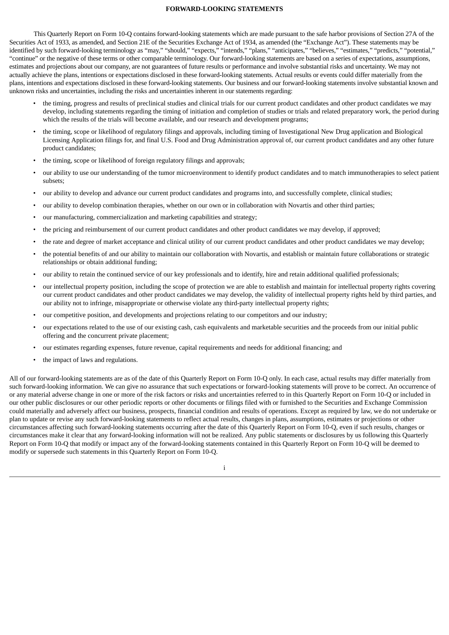# **FORWARD-LOOKING STATEMENTS**

This Quarterly Report on Form 10-Q contains forward-looking statements which are made pursuant to the safe harbor provisions of Section 27A of the Securities Act of 1933, as amended, and Section 21E of the Securities Exchange Act of 1934, as amended (the "Exchange Act"). These statements may be identified by such forward-looking terminology as "may," "should," "expects," "intends," "plans," "anticipates," "believes," "estimates," "predicts," "potential," "continue" or the negative of these terms or other comparable terminology. Our forward-looking statements are based on a series of expectations, assumptions, estimates and projections about our company, are not guarantees of future results or performance and involve substantial risks and uncertainty. We may not actually achieve the plans, intentions or expectations disclosed in these forward-looking statements. Actual results or events could differ materially from the plans, intentions and expectations disclosed in these forward-looking statements. Our business and our forward-looking statements involve substantial known and unknown risks and uncertainties, including the risks and uncertainties inherent in our statements regarding:

- the timing, progress and results of preclinical studies and clinical trials for our current product candidates and other product candidates we may develop, including statements regarding the timing of initiation and completion of studies or trials and related preparatory work, the period during which the results of the trials will become available, and our research and development programs;
- the timing, scope or likelihood of regulatory filings and approvals, including timing of Investigational New Drug application and Biological Licensing Application filings for, and final U.S. Food and Drug Administration approval of, our current product candidates and any other future product candidates;
- the timing, scope or likelihood of foreign regulatory filings and approvals;
- our ability to use our understanding of the tumor microenvironment to identify product candidates and to match immunotherapies to select patient subsets;
- our ability to develop and advance our current product candidates and programs into, and successfully complete, clinical studies;
- our ability to develop combination therapies, whether on our own or in collaboration with Novartis and other third parties;
- our manufacturing, commercialization and marketing capabilities and strategy;
- the pricing and reimbursement of our current product candidates and other product candidates we may develop, if approved;
- the rate and degree of market acceptance and clinical utility of our current product candidates and other product candidates we may develop;
- the potential benefits of and our ability to maintain our collaboration with Novartis, and establish or maintain future collaborations or strategic relationships or obtain additional funding;
- our ability to retain the continued service of our key professionals and to identify, hire and retain additional qualified professionals;
- our intellectual property position, including the scope of protection we are able to establish and maintain for intellectual property rights covering our current product candidates and other product candidates we may develop, the validity of intellectual property rights held by third parties, and our ability not to infringe, misappropriate or otherwise violate any third-party intellectual property rights;
- our competitive position, and developments and projections relating to our competitors and our industry;
- our expectations related to the use of our existing cash, cash equivalents and marketable securities and the proceeds from our initial public offering and the concurrent private placement;
- our estimates regarding expenses, future revenue, capital requirements and needs for additional financing; and
- the impact of laws and regulations.

All of our forward-looking statements are as of the date of this Quarterly Report on Form 10-Q only. In each case, actual results may differ materially from such forward-looking information. We can give no assurance that such expectations or forward-looking statements will prove to be correct. An occurrence of or any material adverse change in one or more of the risk factors or risks and uncertainties referred to in this Quarterly Report on Form 10-Q or included in our other public disclosures or our other periodic reports or other documents or filings filed with or furnished to the Securities and Exchange Commission could materially and adversely affect our business, prospects, financial condition and results of operations. Except as required by law, we do not undertake or plan to update or revise any such forward-looking statements to reflect actual results, changes in plans, assumptions, estimates or projections or other circumstances affecting such forward-looking statements occurring after the date of this Quarterly Report on Form 10-Q, even if such results, changes or circumstances make it clear that any forward-looking information will not be realized. Any public statements or disclosures by us following this Quarterly Report on Form 10-Q that modify or impact any of the forward-looking statements contained in this Quarterly Report on Form 10-Q will be deemed to modify or supersede such statements in this Quarterly Report on Form 10-Q.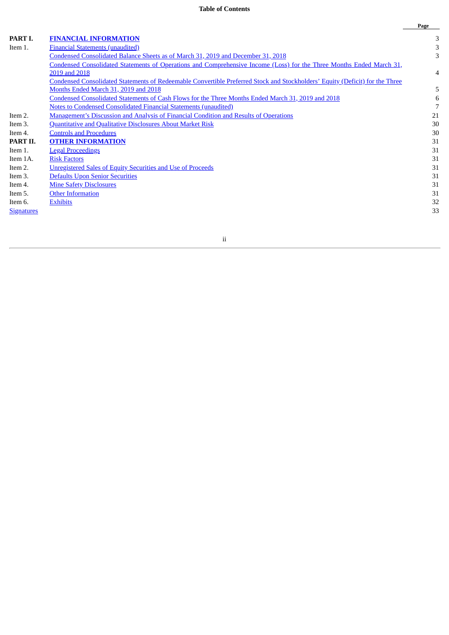# **Table of Contents**

|                   |                                                                                                                              | Page |
|-------------------|------------------------------------------------------------------------------------------------------------------------------|------|
| PART I.           | <b>FINANCIAL INFORMATION</b>                                                                                                 | 3    |
| Item 1.           | <b>Financial Statements (unaudited)</b>                                                                                      | 3    |
|                   | Condensed Consolidated Balance Sheets as of March 31, 2019 and December 31, 2018                                             | 3    |
|                   | Condensed Consolidated Statements of Operations and Comprehensive Income (Loss) for the Three Months Ended March 31,         |      |
|                   | 2019 and 2018                                                                                                                | 4    |
|                   | Condensed Consolidated Statements of Redeemable Convertible Preferred Stock and Stockholders' Equity (Deficit) for the Three |      |
|                   | Months Ended March 31, 2019 and 2018                                                                                         | 5    |
|                   | <u>Condensed Consolidated Statements of Cash Flows for the Three Months Ended March 31, 2019 and 2018</u>                    | 6    |
|                   | <b>Notes to Condensed Consolidated Financial Statements (unaudited)</b>                                                      | 7    |
| Item 2.           | <b>Management's Discussion and Analysis of Financial Condition and Results of Operations</b>                                 | 21   |
| Item 3.           | <b>Quantitative and Qualitative Disclosures About Market Risk</b>                                                            | 30   |
| Item 4.           | <b>Controls and Procedures</b>                                                                                               | 30   |
| PART II.          | <b>OTHER INFORMATION</b>                                                                                                     | 31   |
| Item 1.           | <b>Legal Proceedings</b>                                                                                                     | 31   |
| Item 1A.          | <b>Risk Factors</b>                                                                                                          | 31   |
| Item 2.           | <b>Unregistered Sales of Equity Securities and Use of Proceeds</b>                                                           | 31   |
| Item 3.           | <b>Defaults Upon Senior Securities</b>                                                                                       | 31   |
| Item 4.           | <b>Mine Safety Disclosures</b>                                                                                               | 31   |
| Item 5.           | <b>Other Information</b>                                                                                                     | 31   |
| Item 6.           | <b>Exhibits</b>                                                                                                              | 32   |
| <b>Signatures</b> |                                                                                                                              | 33   |

# ii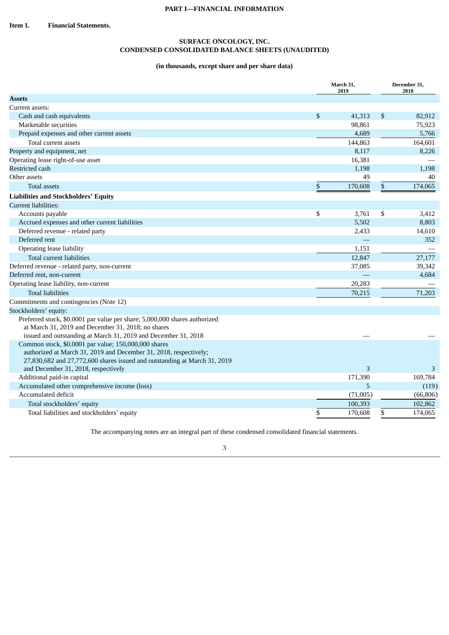# <span id="page-3-1"></span>**SURFACE ONCOLOGY, INC. CONDENSED CONSOLIDATED BALANCE SHEETS (UNAUDITED)**

# **(in thousands, except share and per share data)**

<span id="page-3-2"></span><span id="page-3-0"></span>

|                                                                                                                                                                                                        | March 31,<br>2019 | December 31,<br>2018 |                    |  |
|--------------------------------------------------------------------------------------------------------------------------------------------------------------------------------------------------------|-------------------|----------------------|--------------------|--|
| <b>Assets</b>                                                                                                                                                                                          |                   |                      |                    |  |
| Current assets:                                                                                                                                                                                        |                   |                      |                    |  |
| Cash and cash equivalents                                                                                                                                                                              | \$<br>41,313      | \$                   | 82,912             |  |
| Marketable securities                                                                                                                                                                                  | 98,861            |                      | 75,923             |  |
| Prepaid expenses and other current assets                                                                                                                                                              | 4,689             |                      | 5,766              |  |
| Total current assets                                                                                                                                                                                   | 144,863           |                      | 164,601            |  |
| Property and equipment, net                                                                                                                                                                            | 8,117             |                      | 8,226              |  |
| Operating lease right-of-use asset                                                                                                                                                                     | 16,381            |                      |                    |  |
| Restricted cash                                                                                                                                                                                        | 1,198             |                      | 1,198              |  |
| Other assets                                                                                                                                                                                           | 49                |                      | 40                 |  |
| Total assets                                                                                                                                                                                           | \$<br>170,608     | \$                   | 174,065            |  |
| <b>Liabilities and Stockholders' Equity</b>                                                                                                                                                            |                   |                      |                    |  |
| <b>Current liabilities:</b>                                                                                                                                                                            |                   |                      |                    |  |
| Accounts payable                                                                                                                                                                                       | \$<br>3,761       | \$                   | 3,412              |  |
| Accrued expenses and other current liabilities                                                                                                                                                         | 5,502             |                      | 8,803              |  |
| Deferred revenue - related party                                                                                                                                                                       | 2,433             |                      | 14,610             |  |
| Deferred rent                                                                                                                                                                                          |                   |                      | 352                |  |
| Operating lease liability                                                                                                                                                                              | 1,151             |                      |                    |  |
| Total current liabilities                                                                                                                                                                              | 12,847            |                      | 27,177             |  |
| Deferred revenue - related party, non-current                                                                                                                                                          | 37,085            |                      | 39,342             |  |
| Deferred rent, non-current                                                                                                                                                                             |                   |                      | 4,684              |  |
| Operating lease liability, non-current                                                                                                                                                                 | 20,283            |                      |                    |  |
| <b>Total liabilities</b>                                                                                                                                                                               | 70,215            |                      | 71,203             |  |
| Commitments and contingencies (Note 12)                                                                                                                                                                |                   |                      |                    |  |
| Stockholders' equity:                                                                                                                                                                                  |                   |                      |                    |  |
| Preferred stock, \$0.0001 par value per share; 5,000,000 shares authorized<br>at March 31, 2019 and December 31, 2018; no shares<br>issued and outstanding at March 31, 2019 and December 31, 2018     |                   |                      |                    |  |
| Common stock, \$0.0001 par value; 150,000,000 shares<br>authorized at March 31, 2019 and December 31, 2018, respectively;<br>27,830,682 and 27,772,600 shares issued and outstanding at March 31, 2019 | 3                 |                      |                    |  |
| and December 31, 2018, respectively                                                                                                                                                                    |                   |                      | 3                  |  |
| Additional paid-in capital<br>Accumulated other comprehensive income (loss)                                                                                                                            | 171,390<br>5      |                      | 169,784            |  |
| Accumulated deficit                                                                                                                                                                                    | (71,005)          |                      | (119)<br>(66, 806) |  |
| Total stockholders' equity                                                                                                                                                                             | 100,393           |                      | 102,862            |  |
|                                                                                                                                                                                                        | 170,608           | \$                   | 174,065            |  |
| Total liabilities and stockholders' equity                                                                                                                                                             | \$                |                      |                    |  |

The accompanying notes are an integral part of these condensed consolidated financial statements.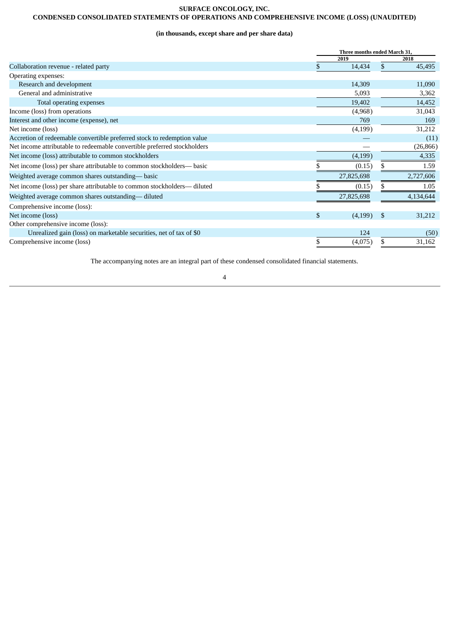# **SURFACE ONCOLOGY, INC.**

# <span id="page-4-0"></span>**CONDENSED CONSOLIDATED STATEMENTS OF OPERATIONS AND COMPREHENSIVE INCOME (LOSS) (UNAUDITED)**

# **(in thousands, except share and per share data)**

|                                                                          | Three months ended March 31, |     |           |  |  |  |  |
|--------------------------------------------------------------------------|------------------------------|-----|-----------|--|--|--|--|
|                                                                          | 2019                         |     | 2018      |  |  |  |  |
| Collaboration revenue - related party                                    | 14,434                       | S   | 45,495    |  |  |  |  |
| Operating expenses:                                                      |                              |     |           |  |  |  |  |
| Research and development                                                 | 14,309                       |     | 11,090    |  |  |  |  |
| General and administrative                                               | 5,093                        |     | 3,362     |  |  |  |  |
| Total operating expenses                                                 | 19,402                       |     | 14,452    |  |  |  |  |
| Income (loss) from operations                                            | (4,968)                      |     | 31,043    |  |  |  |  |
| Interest and other income (expense), net                                 | 769                          |     | 169       |  |  |  |  |
| Net income (loss)                                                        | (4, 199)                     |     | 31,212    |  |  |  |  |
| Accretion of redeemable convertible preferred stock to redemption value  |                              |     | (11)      |  |  |  |  |
| Net income attributable to redeemable convertible preferred stockholders |                              |     | (26, 866) |  |  |  |  |
| Net income (loss) attributable to common stockholders                    | (4, 199)                     |     | 4,335     |  |  |  |  |
| Net income (loss) per share attributable to common stockholders- basic   | (0.15)                       |     | 1.59      |  |  |  |  |
| Weighted average common shares outstanding— basic                        | 27,825,698                   |     | 2,727,606 |  |  |  |  |
| Net income (loss) per share attributable to common stockholders- diluted | (0.15)                       | S.  | 1.05      |  |  |  |  |
| Weighted average common shares outstanding— diluted                      | 27,825,698                   |     | 4,134,644 |  |  |  |  |
| Comprehensive income (loss):                                             |                              |     |           |  |  |  |  |
| Net income (loss)                                                        | \$<br>(4,199)                | \$. | 31,212    |  |  |  |  |
| Other comprehensive income (loss):                                       |                              |     |           |  |  |  |  |
| Unrealized gain (loss) on marketable securities, net of tax of \$0       | 124                          |     | (50)      |  |  |  |  |
| Comprehensive income (loss)                                              | \$<br>(4,075)                | \$. | 31,162    |  |  |  |  |

The accompanying notes are an integral part of these condensed consolidated financial statements.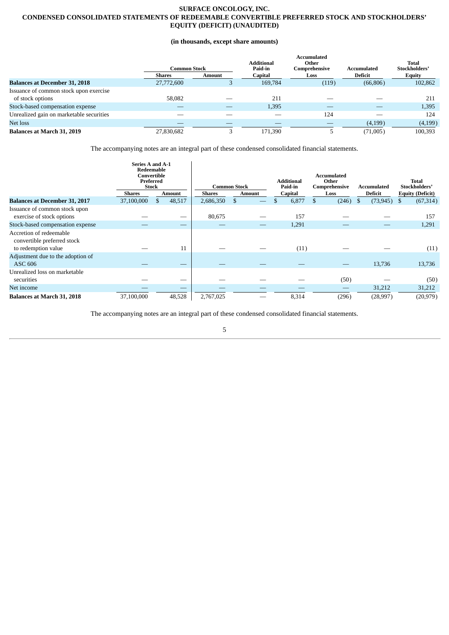# <span id="page-5-0"></span>**SURFACE ONCOLOGY, INC. CONDENSED CONSOLIDATED STATEMENTS OF REDEEMABLE CONVERTIBLE PREFERRED STOCK AND STOCKHOLDERS' EQUITY (DEFICIT) (UNAUDITED)**

# **(in thousands, except share amounts)**

|                                          | Common Stock  |        | <b>Additional</b><br>Paid-in | <b>Accumulated</b><br>Other<br>Comprehensive | Accumulated    | Total<br>Stockholders' |
|------------------------------------------|---------------|--------|------------------------------|----------------------------------------------|----------------|------------------------|
|                                          | <b>Shares</b> | Amount | Capital                      | Loss                                         | <b>Deficit</b> | Equity                 |
| <b>Balances at December 31, 2018</b>     | 27,772,600    |        | 169,784                      | (119)                                        | (66, 806)      | 102,862                |
| Issuance of common stock upon exercise   |               |        |                              |                                              |                |                        |
| of stock options                         | 58,082        |        | 211                          |                                              |                | 211                    |
| Stock-based compensation expense         |               |        | 1,395                        |                                              |                | 1,395                  |
| Unrealized gain on marketable securities |               |        |                              | 124                                          |                | 124                    |
| Net loss                                 |               |        |                              |                                              | (4,199)        | (4, 199)               |
| <b>Balances at March 31, 2019</b>        | 27.830.682    |        | 171.390                      |                                              | (71,005)       | 100.393                |

The accompanying notes are an integral part of these condensed consolidated financial statements.

|                                                                               | <b>Series A and A-1</b><br>Redeemable<br>Convertible<br>Preferred<br><b>Stock</b> |        |           | <b>Common Stock</b> | <b>Additional</b><br>Paid-in | Accumulated<br>Other<br>Comprehensive | Accumulated     | <b>Total</b><br>Stockholders' |
|-------------------------------------------------------------------------------|-----------------------------------------------------------------------------------|--------|-----------|---------------------|------------------------------|---------------------------------------|-----------------|-------------------------------|
|                                                                               | <b>Shares</b>                                                                     | Amount | Shares    | Amount              | Capital                      | Loss                                  | Deficit         | <b>Equity (Deficit)</b>       |
| <b>Balances at December 31, 2017</b>                                          | 37,100,000                                                                        | 48,517 | 2,686,350 | \$                  | 6,877<br>\$                  | \$<br>(246)                           | (73, 945)<br>\$ | (67, 314)<br>\$               |
| Issuance of common stock upon<br>exercise of stock options                    |                                                                                   |        | 80,675    |                     | 157                          |                                       |                 | 157                           |
| Stock-based compensation expense                                              |                                                                                   |        |           |                     | 1,291                        |                                       |                 | 1,291                         |
| Accretion of redeemable<br>convertible preferred stock<br>to redemption value |                                                                                   | 11     |           |                     |                              |                                       |                 |                               |
|                                                                               |                                                                                   |        |           |                     | (11)                         |                                       |                 | (11)                          |
| Adjustment due to the adoption of<br><b>ASC 606</b>                           |                                                                                   |        |           |                     |                              |                                       | 13,736          | 13,736                        |
| Unrealized loss on marketable<br>securities                                   |                                                                                   | –      |           |                     |                              | (50)                                  |                 | (50)                          |
| Net income                                                                    |                                                                                   |        |           |                     |                              |                                       | 31,212          | 31,212                        |
| <b>Balances at March 31, 2018</b>                                             | 37,100,000                                                                        | 48,528 | 2,767,025 |                     | 8,314                        | (296)                                 | (28, 997)       | (20, 979)                     |

The accompanying notes are an integral part of these condensed consolidated financial statements.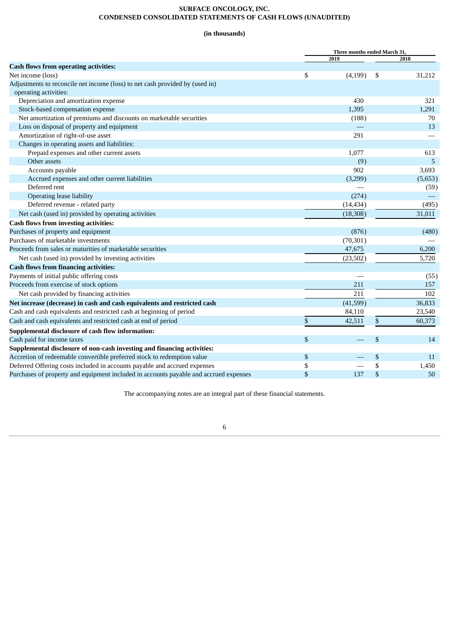# **SURFACE ONCOLOGY, INC. CONDENSED CONSOLIDATED STATEMENTS OF CASH FLOWS (UNAUDITED)**

# **(in thousands)**

<span id="page-6-0"></span>

|                                                                                       |    | Three months ended March 31, |    |         |
|---------------------------------------------------------------------------------------|----|------------------------------|----|---------|
|                                                                                       |    | 2019                         |    | 2018    |
| <b>Cash flows from operating activities:</b>                                          |    |                              |    |         |
| Net income (loss)                                                                     | \$ | (4, 199)                     | \$ | 31,212  |
| Adjustments to reconcile net income (loss) to net cash provided by (used in)          |    |                              |    |         |
| operating activities:                                                                 |    |                              |    |         |
| Depreciation and amortization expense                                                 |    | 430                          |    | 321     |
| Stock-based compensation expense                                                      |    | 1,395                        |    | 1,291   |
| Net amortization of premiums and discounts on marketable securities                   |    | (188)                        |    | 70      |
| Loss on disposal of property and equipment                                            |    |                              |    | 13      |
| Amortization of right-of-use asset                                                    |    | 291                          |    |         |
| Changes in operating assets and liabilities:                                          |    |                              |    |         |
| Prepaid expenses and other current assets                                             |    | 1,077                        |    | 613     |
| Other assets                                                                          |    | (9)                          |    | 5       |
| Accounts payable                                                                      |    | 902                          |    | 3,693   |
| Accrued expenses and other current liabilities                                        |    | (3,299)                      |    | (5,653) |
| Deferred rent                                                                         |    |                              |    | (59)    |
| <b>Operating lease liability</b>                                                      |    | (274)                        |    |         |
| Deferred revenue - related party                                                      |    | (14, 434)                    |    | (495)   |
| Net cash (used in) provided by operating activities                                   |    | (18, 308)                    |    | 31,011  |
| <b>Cash flows from investing activities:</b>                                          |    |                              |    |         |
| Purchases of property and equipment                                                   |    | (876)                        |    | (480)   |
| Purchases of marketable investments                                                   |    | (70, 301)                    |    |         |
| Proceeds from sales or maturities of marketable securities                            |    | 47,675                       |    | 6,200   |
| Net cash (used in) provided by investing activities                                   |    | (23,502)                     |    | 5,720   |
| <b>Cash flows from financing activities:</b>                                          |    |                              |    |         |
| Payments of initial public offering costs                                             |    |                              |    | (55)    |
| Proceeds from exercise of stock options                                               |    | 211                          |    | 157     |
| Net cash provided by financing activities                                             |    | 211                          |    | 102     |
| Net increase (decrease) in cash and cash equivalents and restricted cash              |    | (41,599)                     |    | 36,833  |
| Cash and cash equivalents and restricted cash at beginning of period                  |    | 84,110                       |    | 23,540  |
| Cash and cash equivalents and restricted cash at end of period                        | \$ | 42,511                       | \$ | 60,373  |
| Supplemental disclosure of cash flow information:                                     |    |                              |    |         |
| Cash paid for income taxes                                                            | \$ |                              | \$ | 14      |
| Supplemental disclosure of non-cash investing and financing activities:               |    |                              |    |         |
| Accretion of redeemable convertible preferred stock to redemption value               | \$ |                              | \$ | 11      |
| Deferred Offering costs included in accounts payable and accrued expenses             | \$ |                              | \$ | 1,450   |
| Purchases of property and equipment included in accounts payable and accrued expenses | \$ | 137                          | \$ | 50      |

The accompanying notes are an integral part of these financial statements.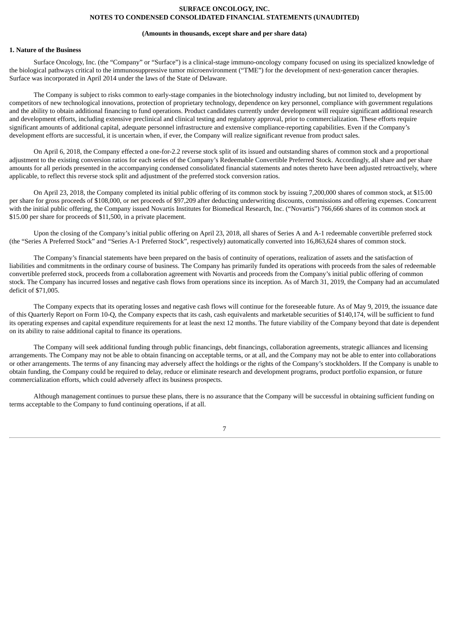#### **(Amounts in thousands, except share and per share data)**

# <span id="page-7-0"></span>**1. Nature of the Business**

Surface Oncology, Inc. (the "Company" or "Surface") is a clinical-stage immuno-oncology company focused on using its specialized knowledge of the biological pathways critical to the immunosuppressive tumor microenvironment ("TME") for the development of next-generation cancer therapies. Surface was incorporated in April 2014 under the laws of the State of Delaware.

The Company is subject to risks common to early-stage companies in the biotechnology industry including, but not limited to, development by competitors of new technological innovations, protection of proprietary technology, dependence on key personnel, compliance with government regulations and the ability to obtain additional financing to fund operations. Product candidates currently under development will require significant additional research and development efforts, including extensive preclinical and clinical testing and regulatory approval, prior to commercialization. These efforts require significant amounts of additional capital, adequate personnel infrastructure and extensive compliance-reporting capabilities. Even if the Company's development efforts are successful, it is uncertain when, if ever, the Company will realize significant revenue from product sales.

On April 6, 2018, the Company effected a one-for-2.2 reverse stock split of its issued and outstanding shares of common stock and a proportional adjustment to the existing conversion ratios for each series of the Company's Redeemable Convertible Preferred Stock. Accordingly, all share and per share amounts for all periods presented in the accompanying condensed consolidated financial statements and notes thereto have been adjusted retroactively, where applicable, to reflect this reverse stock split and adjustment of the preferred stock conversion ratios.

On April 23, 2018, the Company completed its initial public offering of its common stock by issuing 7,200,000 shares of common stock, at \$15.00 per share for gross proceeds of \$108,000, or net proceeds of \$97,209 after deducting underwriting discounts, commissions and offering expenses. Concurrent with the initial public offering, the Company issued Novartis Institutes for Biomedical Research, Inc. ("Novartis") 766,666 shares of its common stock at \$15.00 per share for proceeds of \$11,500, in a private placement.

Upon the closing of the Company's initial public offering on April 23, 2018, all shares of Series A and A-1 redeemable convertible preferred stock (the "Series A Preferred Stock" and "Series A-1 Preferred Stock", respectively) automatically converted into 16,863,624 shares of common stock.

The Company's financial statements have been prepared on the basis of continuity of operations, realization of assets and the satisfaction of liabilities and commitments in the ordinary course of business. The Company has primarily funded its operations with proceeds from the sales of redeemable convertible preferred stock, proceeds from a collaboration agreement with Novartis and proceeds from the Company's initial public offering of common stock. The Company has incurred losses and negative cash flows from operations since its inception. As of March 31, 2019, the Company had an accumulated deficit of \$71,005.

The Company expects that its operating losses and negative cash flows will continue for the foreseeable future. As of May 9, 2019, the issuance date of this Quarterly Report on Form 10-Q, the Company expects that its cash, cash equivalents and marketable securities of \$140,174, will be sufficient to fund its operating expenses and capital expenditure requirements for at least the next 12 months. The future viability of the Company beyond that date is dependent on its ability to raise additional capital to finance its operations.

The Company will seek additional funding through public financings, debt financings, collaboration agreements, strategic alliances and licensing arrangements. The Company may not be able to obtain financing on acceptable terms, or at all, and the Company may not be able to enter into collaborations or other arrangements. The terms of any financing may adversely affect the holdings or the rights of the Company's stockholders. If the Company is unable to obtain funding, the Company could be required to delay, reduce or eliminate research and development programs, product portfolio expansion, or future commercialization efforts, which could adversely affect its business prospects.

Although management continues to pursue these plans, there is no assurance that the Company will be successful in obtaining sufficient funding on terms acceptable to the Company to fund continuing operations, if at all.

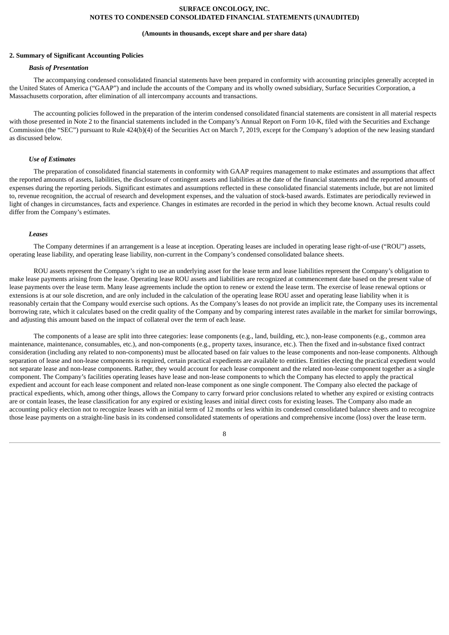#### **(Amounts in thousands, except share and per share data)**

## **2. Summary of Significant Accounting Policies**

### *Basis of Presentation*

The accompanying condensed consolidated financial statements have been prepared in conformity with accounting principles generally accepted in the United States of America ("GAAP") and include the accounts of the Company and its wholly owned subsidiary, Surface Securities Corporation, a Massachusetts corporation, after elimination of all intercompany accounts and transactions.

The accounting policies followed in the preparation of the interim condensed consolidated financial statements are consistent in all material respects with those presented in Note 2 to the financial statements included in the Company's Annual Report on Form 10-K, filed with the Securities and Exchange Commission (the "SEC") pursuant to Rule 424(b)(4) of the Securities Act on March 7, 2019, except for the Company's adoption of the new leasing standard as discussed below.

#### *Use of Estimates*

The preparation of consolidated financial statements in conformity with GAAP requires management to make estimates and assumptions that affect the reported amounts of assets, liabilities, the disclosure of contingent assets and liabilities at the date of the financial statements and the reported amounts of expenses during the reporting periods. Significant estimates and assumptions reflected in these consolidated financial statements include, but are not limited to, revenue recognition, the accrual of research and development expenses, and the valuation of stock-based awards. Estimates are periodically reviewed in light of changes in circumstances, facts and experience. Changes in estimates are recorded in the period in which they become known. Actual results could differ from the Company's estimates.

#### *Leases*

The Company determines if an arrangement is a lease at inception. Operating leases are included in operating lease right-of-use ("ROU") assets, operating lease liability, and operating lease liability, non-current in the Company's condensed consolidated balance sheets.

ROU assets represent the Company's right to use an underlying asset for the lease term and lease liabilities represent the Company's obligation to make lease payments arising from the lease. Operating lease ROU assets and liabilities are recognized at commencement date based on the present value of lease payments over the lease term. Many lease agreements include the option to renew or extend the lease term. The exercise of lease renewal options or extensions is at our sole discretion, and are only included in the calculation of the operating lease ROU asset and operating lease liability when it is reasonably certain that the Company would exercise such options. As the Company's leases do not provide an implicit rate, the Company uses its incremental borrowing rate, which it calculates based on the credit quality of the Company and by comparing interest rates available in the market for similar borrowings, and adjusting this amount based on the impact of collateral over the term of each lease.

The components of a lease are split into three categories: lease components (e.g., land, building, etc.), non-lease components (e.g., common area maintenance, maintenance, consumables, etc.), and non-components (e.g., property taxes, insurance, etc.). Then the fixed and in-substance fixed contract consideration (including any related to non-components) must be allocated based on fair values to the lease components and non-lease components. Although separation of lease and non-lease components is required, certain practical expedients are available to entities. Entities electing the practical expedient would not separate lease and non-lease components. Rather, they would account for each lease component and the related non-lease component together as a single component. The Company's facilities operating leases have lease and non-lease components to which the Company has elected to apply the practical expedient and account for each lease component and related non-lease component as one single component. The Company also elected the package of practical expedients, which, among other things, allows the Company to carry forward prior conclusions related to whether any expired or existing contracts are or contain leases, the lease classification for any expired or existing leases and initial direct costs for existing leases. The Company also made an accounting policy election not to recognize leases with an initial term of 12 months or less within its condensed consolidated balance sheets and to recognize those lease payments on a straight-line basis in its condensed consolidated statements of operations and comprehensive income (loss) over the lease term.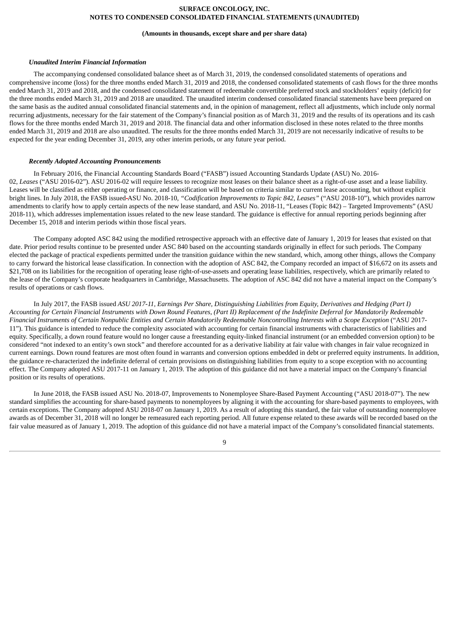#### **(Amounts in thousands, except share and per share data)**

### *Unaudited Interim Financial Information*

The accompanying condensed consolidated balance sheet as of March 31, 2019, the condensed consolidated statements of operations and comprehensive income (loss) for the three months ended March 31, 2019 and 2018, the condensed consolidated statements of cash flows for the three months ended March 31, 2019 and 2018, and the condensed consolidated statement of redeemable convertible preferred stock and stockholders' equity (deficit) for the three months ended March 31, 2019 and 2018 are unaudited. The unaudited interim condensed consolidated financial statements have been prepared on the same basis as the audited annual consolidated financial statements and, in the opinion of management, reflect all adjustments, which include only normal recurring adjustments, necessary for the fair statement of the Company's financial position as of March 31, 2019 and the results of its operations and its cash flows for the three months ended March 31, 2019 and 2018. The financial data and other information disclosed in these notes related to the three months ended March 31, 2019 and 2018 are also unaudited. The results for the three months ended March 31, 2019 are not necessarily indicative of results to be expected for the year ending December 31, 2019, any other interim periods, or any future year period.

### *Recently Adopted Accounting Pronouncements*

In February 2016, the Financial Accounting Standards Board ("FASB") issued Accounting Standards Update (ASU) No. 2016- 02, *Leases* ("ASU 2016-02"). ASU 2016-02 will require lessees to recognize most leases on their balance sheet as a right-of-use asset and a lease liability. Leases will be classified as either operating or finance, and classification will be based on criteria similar to current lease accounting, but without explicit bright lines. In July 2018, the FASB issued ASU No. 2018-10, *"Codification Improvements to Topic 842, Leases"* ("ASU 2018-10"), which provides narrow amendments to clarify how to apply certain aspects of the new lease standard, and ASU No. 2018-11, "Leases (Topic 842) – Targeted Improvements" (ASU 2018-11), which addresses implementation issues related to the new lease standard. The guidance is effective for annual reporting periods beginning after December 15, 2018 and interim periods within those fiscal years.

The Company adopted ASC 842 using the modified retrospective approach with an effective date of January 1, 2019 for leases that existed on that date. Prior period results continue to be presented under ASC 840 based on the accounting standards originally in effect for such periods. The Company elected the package of practical expedients permitted under the transition guidance within the new standard, which, among other things, allows the Company to carry forward the historical lease classification. In connection with the adoption of ASC 842, the Company recorded an impact of \$16,672 on its assets and \$21,708 on its liabilities for the recognition of operating lease right-of-use-assets and operating lease liabilities, respectively, which are primarily related to the lease of the Company's corporate headquarters in Cambridge, Massachusetts. The adoption of ASC 842 did not have a material impact on the Company's results of operations or cash flows.

In July 2017, the FASB issued ASU 2017-11, Earnings Per Share, Distinguishing Liabilities from Equity, Derivatives and Hedging (Part I) Accounting for Certain Financial Instruments with Down Round Features, (Part II) Replacement of the Indefinite Deferral for Mandatorily Redeemable Financial Instruments of Certain Nonpublic Entities and Certain Mandatorily Redeemable Noncontrolling Interests with a Scope Exception ("ASU 2017-11"). This guidance is intended to reduce the complexity associated with accounting for certain financial instruments with characteristics of liabilities and equity. Specifically, a down round feature would no longer cause a freestanding equity-linked financial instrument (or an embedded conversion option) to be considered "not indexed to an entity's own stock" and therefore accounted for as a derivative liability at fair value with changes in fair value recognized in current earnings. Down round features are most often found in warrants and conversion options embedded in debt or preferred equity instruments. In addition, the guidance re-characterized the indefinite deferral of certain provisions on distinguishing liabilities from equity to a scope exception with no accounting effect. The Company adopted ASU 2017-11 on January 1, 2019. The adoption of this guidance did not have a material impact on the Company's financial position or its results of operations.

In June 2018, the FASB issued ASU No. 2018-07, Improvements to Nonemployee Share-Based Payment Accounting ("ASU 2018-07"). The new standard simplifies the accounting for share-based payments to nonemployees by aligning it with the accounting for share-based payments to employees, with certain exceptions. The Company adopted ASU 2018-07 on January 1, 2019. As a result of adopting this standard, the fair value of outstanding nonemployee awards as of December 31, 2018 will no longer be remeasured each reporting period. All future expense related to these awards will be recorded based on the fair value measured as of January 1, 2019. The adoption of this guidance did not have a material impact of the Company's consolidated financial statements.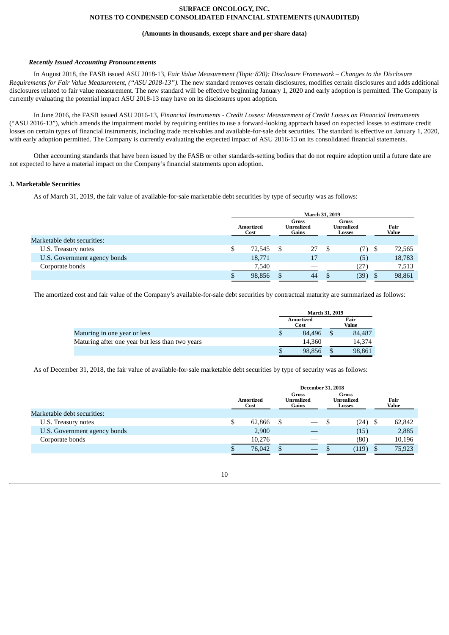### **(Amounts in thousands, except share and per share data)**

### *Recently Issued Accounting Pronouncements*

In August 2018, the FASB issued ASU 2018-13, *Fair Value Measurement (Topic 820): Disclosure Framework – Changes to the Disclosure Requirements for Fair Value Measurement, ("ASU 2018-13").* The new standard removes certain disclosures, modifies certain disclosures and adds additional disclosures related to fair value measurement. The new standard will be effective beginning January 1, 2020 and early adoption is permitted. The Company is currently evaluating the potential impact ASU 2018-13 may have on its disclosures upon adoption.

In June 2016, the FASB issued ASU 2016-13, *Financial Instruments - Credit Losses: Measurement of Credit Losses on Financial Instruments* ("ASU 2016-13"), which amends the impairment model by requiring entities to use a forward-looking approach based on expected losses to estimate credit losses on certain types of financial instruments, including trade receivables and available-for-sale debt securities. The standard is effective on January 1, 2020, with early adoption permitted. The Company is currently evaluating the expected impact of ASU 2016-13 on its consolidated financial statements.

Other accounting standards that have been issued by the FASB or other standards-setting bodies that do not require adoption until a future date are not expected to have a material impact on the Company's financial statements upon adoption.

## **3. Marketable Securities**

As of March 31, 2019, the fair value of available-for-sale marketable debt securities by type of security was as follows:

|                              | March 31, 2019    |        |  |                              |      |                                             |  |               |
|------------------------------|-------------------|--------|--|------------------------------|------|---------------------------------------------|--|---------------|
|                              | Amortized<br>Cost |        |  | Gross<br>Unrealized<br>Gains |      | <b>Gross</b><br><b>Unrealized</b><br>Losses |  | Fair<br>Value |
| Marketable debt securities:  |                   |        |  |                              |      |                                             |  |               |
| U.S. Treasury notes          |                   | 72,545 |  | 27                           | - \$ | (7) \$                                      |  | 72,565        |
| U.S. Government agency bonds |                   | 18,771 |  | 17                           |      | (5)                                         |  | 18,783        |
| Corporate bonds              |                   | 7,540  |  |                              |      | (27)                                        |  | 7,513         |
|                              |                   | 98,856 |  | 44                           |      | (39)                                        |  | 98,861        |

The amortized cost and fair value of the Company's available-for-sale debt securities by contractual maturity are summarized as follows:

|                                                 | <b>March 31, 2019</b> |               |
|-------------------------------------------------|-----------------------|---------------|
|                                                 | Amortized<br>Cost     | Fair<br>Value |
| Maturing in one year or less                    | 84.496                | 84,487        |
| Maturing after one year but less than two years | 14.360                | 14.374        |
|                                                 | 98,856                | 98,861        |

As of December 31, 2018, the fair value of available-for-sale marketable debt securities by type of security was as follows:

|                              | <b>December 31, 2018</b> |        |                              |                                 |                                                    |       |  |                      |
|------------------------------|--------------------------|--------|------------------------------|---------------------------------|----------------------------------------------------|-------|--|----------------------|
|                              | Amortized<br>Cost        |        | Gross<br>Unrealized<br>Gains |                                 | <b>Gross</b><br><b>Unrealized</b><br><b>Losses</b> |       |  | Fair<br><b>Value</b> |
| Marketable debt securities:  |                          |        |                              |                                 |                                                    |       |  |                      |
| U.S. Treasury notes          |                          | 62,866 | S                            | $\hspace{0.1mm}-\hspace{0.1mm}$ | D                                                  | (24)  |  | 62,842               |
| U.S. Government agency bonds |                          | 2,900  |                              |                                 |                                                    | (15)  |  | 2,885                |
| Corporate bonds              |                          | 10.276 |                              |                                 |                                                    | (80)  |  | 10,196               |
|                              |                          | 76,042 |                              |                                 |                                                    | (119) |  | 75,923               |

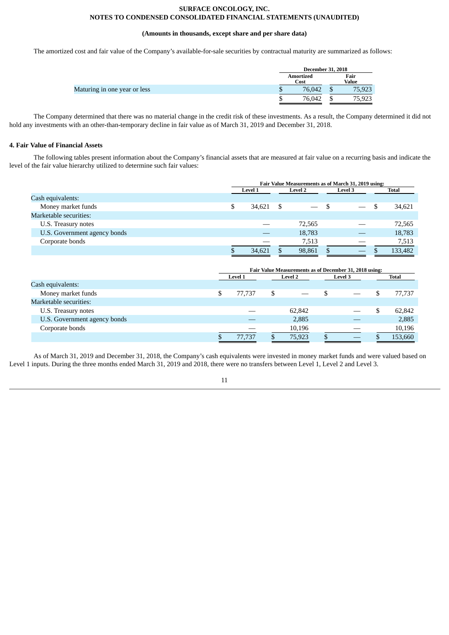# **(Amounts in thousands, except share and per share data)**

The amortized cost and fair value of the Company's available-for-sale securities by contractual maturity are summarized as follows:

|                              |    | <b>December 31, 2018</b> |   |               |  |  |
|------------------------------|----|--------------------------|---|---------------|--|--|
|                              |    | Amortized<br>Cost        |   | Fair<br>Value |  |  |
| Maturing in one year or less | ٠D | 76,042                   | D | 75,923        |  |  |
|                              |    | 76.042                   |   | 75,923        |  |  |

The Company determined that there was no material change in the credit risk of these investments. As a result, the Company determined it did not hold any investments with an other-than-temporary decline in fair value as of March 31, 2019 and December 31, 2018.

# **4. Fair Value of Financial Assets**

The following tables present information about the Company's financial assets that are measured at fair value on a recurring basis and indicate the level of the fair value hierarchy utilized to determine such fair values:

|                              | Fair Value Measurements as of March 31, 2019 using: |                |  |                |  |         |  |         |
|------------------------------|-----------------------------------------------------|----------------|--|----------------|--|---------|--|---------|
|                              |                                                     | <b>Level 1</b> |  | <b>Level 2</b> |  | Level 3 |  | Total   |
| Cash equivalents:            |                                                     |                |  |                |  |         |  |         |
| Money market funds           | ۰D                                                  | 34.621         |  |                |  |         |  | 34,621  |
| Marketable securities:       |                                                     |                |  |                |  |         |  |         |
| U.S. Treasury notes          |                                                     |                |  | 72,565         |  |         |  | 72,565  |
| U.S. Government agency bonds |                                                     |                |  | 18,783         |  |         |  | 18,783  |
| Corporate bonds              |                                                     |                |  | 7,513          |  |         |  | 7,513   |
|                              |                                                     | 34.621         |  | 98,861         |  | $-$     |  | 133,482 |
|                              |                                                     |                |  |                |  |         |  |         |

|                              | Fair Value Measurements as of December 31, 2018 using: |                |    |                |  |                |  |              |
|------------------------------|--------------------------------------------------------|----------------|----|----------------|--|----------------|--|--------------|
|                              |                                                        | <b>Level 1</b> |    | <b>Level 2</b> |  | <b>Level 3</b> |  | <b>Total</b> |
| Cash equivalents:            |                                                        |                |    |                |  |                |  |              |
| Money market funds           |                                                        | 77.737         | \$ |                |  |                |  | 77,737       |
| Marketable securities:       |                                                        |                |    |                |  |                |  |              |
| U.S. Treasury notes          |                                                        |                |    | 62,842         |  |                |  | 62,842       |
| U.S. Government agency bonds |                                                        |                |    | 2,885          |  |                |  | 2,885        |
| Corporate bonds              |                                                        |                |    | 10,196         |  |                |  | 10,196       |
|                              |                                                        | 77,737         |    | 75,923         |  |                |  | 153,660      |

As of March 31, 2019 and December 31, 2018, the Company's cash equivalents were invested in money market funds and were valued based on Level 1 inputs. During the three months ended March 31, 2019 and 2018, there were no transfers between Level 1, Level 2 and Level 3.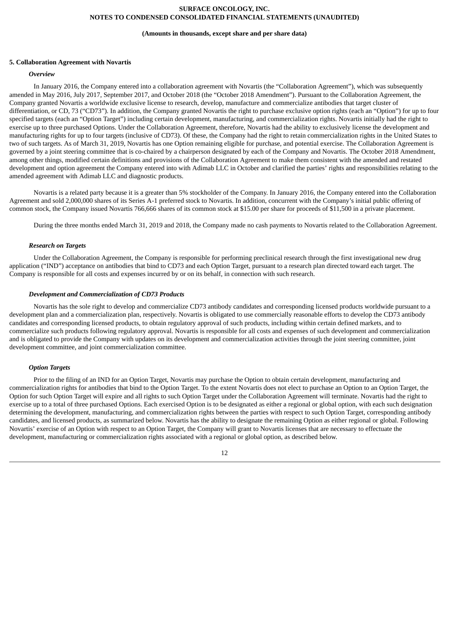#### **(Amounts in thousands, except share and per share data)**

### **5. Collaboration Agreement with Novartis**

# *Overview*

In January 2016, the Company entered into a collaboration agreement with Novartis (the "Collaboration Agreement"), which was subsequently amended in May 2016, July 2017, September 2017, and October 2018 (the "October 2018 Amendment"). Pursuant to the Collaboration Agreement, the Company granted Novartis a worldwide exclusive license to research, develop, manufacture and commercialize antibodies that target cluster of differentiation, or CD, 73 ("CD73"). In addition, the Company granted Novartis the right to purchase exclusive option rights (each an "Option") for up to four specified targets (each an "Option Target") including certain development, manufacturing, and commercialization rights. Novartis initially had the right to exercise up to three purchased Options. Under the Collaboration Agreement, therefore, Novartis had the ability to exclusively license the development and manufacturing rights for up to four targets (inclusive of CD73). Of these, the Company had the right to retain commercialization rights in the United States to two of such targets. As of March 31, 2019, Novartis has one Option remaining eligible for purchase, and potential exercise. The Collaboration Agreement is governed by a joint steering committee that is co-chaired by a chairperson designated by each of the Company and Novartis. The October 2018 Amendment, among other things, modified certain definitions and provisions of the Collaboration Agreement to make them consistent with the amended and restated development and option agreement the Company entered into with Adimab LLC in October and clarified the parties' rights and responsibilities relating to the amended agreement with Adimab LLC and diagnostic products.

Novartis is a related party because it is a greater than 5% stockholder of the Company. In January 2016, the Company entered into the Collaboration Agreement and sold 2,000,000 shares of its Series A-1 preferred stock to Novartis. In addition, concurrent with the Company's initial public offering of common stock, the Company issued Novartis 766,666 shares of its common stock at \$15.00 per share for proceeds of \$11,500 in a private placement.

During the three months ended March 31, 2019 and 2018, the Company made no cash payments to Novartis related to the Collaboration Agreement.

### *Research on Targets*

Under the Collaboration Agreement, the Company is responsible for performing preclinical research through the first investigational new drug application ("IND") acceptance on antibodies that bind to CD73 and each Option Target, pursuant to a research plan directed toward each target. The Company is responsible for all costs and expenses incurred by or on its behalf, in connection with such research.

### *Development and Commercialization of CD73 Products*

Novartis has the sole right to develop and commercialize CD73 antibody candidates and corresponding licensed products worldwide pursuant to a development plan and a commercialization plan, respectively. Novartis is obligated to use commercially reasonable efforts to develop the CD73 antibody candidates and corresponding licensed products, to obtain regulatory approval of such products, including within certain defined markets, and to commercialize such products following regulatory approval. Novartis is responsible for all costs and expenses of such development and commercialization and is obligated to provide the Company with updates on its development and commercialization activities through the joint steering committee, joint development committee, and joint commercialization committee.

### *Option Targets*

Prior to the filing of an IND for an Option Target, Novartis may purchase the Option to obtain certain development, manufacturing and commercialization rights for antibodies that bind to the Option Target. To the extent Novartis does not elect to purchase an Option to an Option Target, the Option for such Option Target will expire and all rights to such Option Target under the Collaboration Agreement will terminate. Novartis had the right to exercise up to a total of three purchased Options. Each exercised Option is to be designated as either a regional or global option, with each such designation determining the development, manufacturing, and commercialization rights between the parties with respect to such Option Target, corresponding antibody candidates, and licensed products, as summarized below. Novartis has the ability to designate the remaining Option as either regional or global. Following Novartis' exercise of an Option with respect to an Option Target, the Company will grant to Novartis licenses that are necessary to effectuate the development, manufacturing or commercialization rights associated with a regional or global option, as described below.

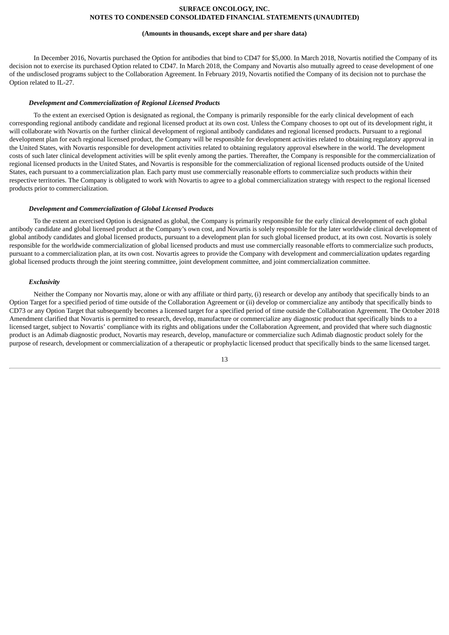#### **(Amounts in thousands, except share and per share data)**

In December 2016, Novartis purchased the Option for antibodies that bind to CD47 for \$5,000. In March 2018, Novartis notified the Company of its decision not to exercise its purchased Option related to CD47. In March 2018, the Company and Novartis also mutually agreed to cease development of one of the undisclosed programs subject to the Collaboration Agreement. In February 2019, Novartis notified the Company of its decision not to purchase the Option related to IL-27.

### *Development and Commercialization of Regional Licensed Products*

To the extent an exercised Option is designated as regional, the Company is primarily responsible for the early clinical development of each corresponding regional antibody candidate and regional licensed product at its own cost. Unless the Company chooses to opt out of its development right, it will collaborate with Novartis on the further clinical development of regional antibody candidates and regional licensed products. Pursuant to a regional development plan for each regional licensed product, the Company will be responsible for development activities related to obtaining regulatory approval in the United States, with Novartis responsible for development activities related to obtaining regulatory approval elsewhere in the world. The development costs of such later clinical development activities will be split evenly among the parties. Thereafter, the Company is responsible for the commercialization of regional licensed products in the United States, and Novartis is responsible for the commercialization of regional licensed products outside of the United States, each pursuant to a commercialization plan. Each party must use commercially reasonable efforts to commercialize such products within their respective territories. The Company is obligated to work with Novartis to agree to a global commercialization strategy with respect to the regional licensed products prior to commercialization.

#### *Development and Commercialization of Global Licensed Products*

To the extent an exercised Option is designated as global, the Company is primarily responsible for the early clinical development of each global antibody candidate and global licensed product at the Company's own cost, and Novartis is solely responsible for the later worldwide clinical development of global antibody candidates and global licensed products, pursuant to a development plan for such global licensed product, at its own cost. Novartis is solely responsible for the worldwide commercialization of global licensed products and must use commercially reasonable efforts to commercialize such products, pursuant to a commercialization plan, at its own cost. Novartis agrees to provide the Company with development and commercialization updates regarding global licensed products through the joint steering committee, joint development committee, and joint commercialization committee.

### *Exclusivity*

Neither the Company nor Novartis may, alone or with any affiliate or third party, (i) research or develop any antibody that specifically binds to an Option Target for a specified period of time outside of the Collaboration Agreement or (ii) develop or commercialize any antibody that specifically binds to CD73 or any Option Target that subsequently becomes a licensed target for a specified period of time outside the Collaboration Agreement. The October 2018 Amendment clarified that Novartis is permitted to research, develop, manufacture or commercialize any diagnostic product that specifically binds to a licensed target, subject to Novartis' compliance with its rights and obligations under the Collaboration Agreement, and provided that where such diagnostic product is an Adimab diagnostic product, Novartis may research, develop, manufacture or commercialize such Adimab diagnostic product solely for the purpose of research, development or commercialization of a therapeutic or prophylactic licensed product that specifically binds to the same licensed target.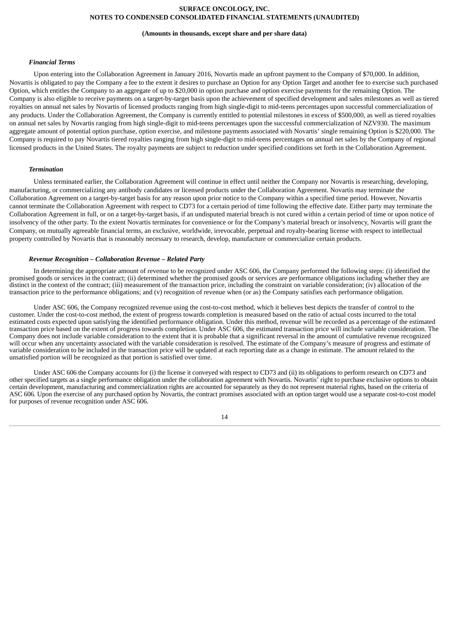#### **(Amounts in thousands, except share and per share data)**

#### *Financial Terms*

Upon entering into the Collaboration Agreement in January 2016, Novartis made an upfront payment to the Company of \$70,000. In addition, Novartis is obligated to pay the Company a fee to the extent it desires to purchase an Option for any Option Target and another fee to exercise such purchased Option, which entitles the Company to an aggregate of up to \$20,000 in option purchase and option exercise payments for the remaining Option. The Company is also eligible to receive payments on a target-by-target basis upon the achievement of specified development and sales milestones as well as tiered royalties on annual net sales by Novartis of licensed products ranging from high single-digit to mid-teens percentages upon successful commercialization of any products. Under the Collaboration Agreement, the Company is currently entitled to potential milestones in excess of \$500,000, as well as tiered royalties on annual net sales by Novartis ranging from high single-digit to mid-teens percentages upon the successful commercialization of NZV930. The maximum aggregate amount of potential option purchase, option exercise, and milestone payments associated with Novartis' single remaining Option is \$220,000. The Company is required to pay Novartis tiered royalties ranging from high single-digit to mid-teens percentages on annual net sales by the Company of regional licensed products in the United States. The royalty payments are subject to reduction under specified conditions set forth in the Collaboration Agreement.

### *Termination*

Unless terminated earlier, the Collaboration Agreement will continue in effect until neither the Company nor Novartis is researching, developing, manufacturing, or commercializing any antibody candidates or licensed products under the Collaboration Agreement. Novartis may terminate the Collaboration Agreement on a target-by-target basis for any reason upon prior notice to the Company within a specified time period. However, Novartis cannot terminate the Collaboration Agreement with respect to CD73 for a certain period of time following the effective date. Either party may terminate the Collaboration Agreement in full, or on a target-by-target basis, if an undisputed material breach is not cured within a certain period of time or upon notice of insolvency of the other party. To the extent Novartis terminates for convenience or for the Company's material breach or insolvency, Novartis will grant the Company, on mutually agreeable financial terms, an exclusive, worldwide, irrevocable, perpetual and royalty-bearing license with respect to intellectual property controlled by Novartis that is reasonably necessary to research, develop, manufacture or commercialize certain products.

## *Revenue Recognition – Collaboration Revenue – Related Party*

In determining the appropriate amount of revenue to be recognized under ASC 606, the Company performed the following steps: (i) identified the promised goods or services in the contract; (ii) determined whether the promised goods or services are performance obligations including whether they are distinct in the context of the contract; (iii) measurement of the transaction price, including the constraint on variable consideration; (iv) allocation of the transaction price to the performance obligations; and (v) recognition of revenue when (or as) the Company satisfies each performance obligation.

Under ASC 606, the Company recognized revenue using the cost-to-cost method, which it believes best depicts the transfer of control to the customer. Under the cost-to-cost method, the extent of progress towards completion is measured based on the ratio of actual costs incurred to the total estimated costs expected upon satisfying the identified performance obligation. Under this method, revenue will be recorded as a percentage of the estimated transaction price based on the extent of progress towards completion. Under ASC 606, the estimated transaction price will include variable consideration. The Company does not include variable consideration to the extent that it is probable that a significant reversal in the amount of cumulative revenue recognized will occur when any uncertainty associated with the variable consideration is resolved. The estimate of the Company's measure of progress and estimate of variable consideration to be included in the transaction price will be updated at each reporting date as a change in estimate. The amount related to the unsatisfied portion will be recognized as that portion is satisfied over time.

Under ASC 606 the Company accounts for (i) the license it conveyed with respect to CD73 and (ii) its obligations to perform research on CD73 and other specified targets as a single performance obligation under the collaboration agreement with Novartis. Novartis' right to purchase exclusive options to obtain certain development, manufacturing and commercialization rights are accounted for separately as they do not represent material rights, based on the criteria of ASC 606. Upon the exercise of any purchased option by Novartis, the contract promises associated with an option target would use a separate cost-to-cost model for purposes of revenue recognition under ASC 606.

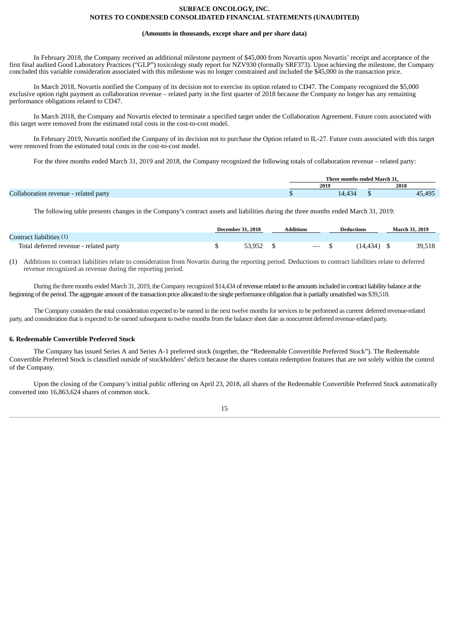### **(Amounts in thousands, except share and per share data)**

In February 2018, the Company received an additional milestone payment of \$45,000 from Novartis upon Novartis' receipt and acceptance of the first final audited Good Laboratory Practices ("GLP") toxicology study report for NZV930 (formally SRF373). Upon achieving the milestone, the Company concluded this variable consideration associated with this milestone was no longer constrained and included the \$45,000 in the transaction price.

In March 2018, Novartis notified the Company of its decision not to exercise its option related to CD47. The Company recognized the \$5,000 exclusive option right payment as collaboration revenue – related party in the first quarter of 2018 because the Company no longer has any remaining performance obligations related to CD47.

In March 2018, the Company and Novartis elected to terminate a specified target under the Collaboration Agreement. Future costs associated with this target were removed from the estimated total costs in the cost-to-cost model.

In February 2019, Novartis notified the Company of its decision not to purchase the Option related to IL-27. Future costs associated with this target were removed from the estimated total costs in the cost-to-cost model.

For the three months ended March 31, 2019 and 2018, the Company recognized the following totals of collaboration revenue – related party:

|                                       |      | Three months ended March 31. |  |        |
|---------------------------------------|------|------------------------------|--|--------|
|                                       | 2019 |                              |  | 2018   |
| Collaboration revenue - related party |      | 14,434                       |  | 45,495 |

The following table presents changes in the Company's contract assets and liabilities during the three months ended March 31, 2019:

|                                        | <b>December 31, 2018</b> | Additions | <b>Deductions</b> | <b>March 31, 2019</b> |
|----------------------------------------|--------------------------|-----------|-------------------|-----------------------|
| Contract liabilities (1)               |                          |           |                   |                       |
| Total deferred revenue - related party | 53.952                   | $-5$      | $(14, 434)$ \$    | 39,518                |

(1) Additions to contract liabilities relate to consideration from Novartis during the reporting period. Deductions to contract liabilities relate to deferred revenue recognized as revenue during the reporting period.

During the three months ended March 31, 2019, the Company recognized \$14,434 of revenue related to the amounts included in contract liability balance at the beginning of the period. The aggregate amount of the transaction price allocated to the single performance obligation that is partially unsatisfied was \$39,518.

The Company considers the total consideration expected to be earned in the next twelve months for services to be performed as current deferred revenue-related party, and consideration that is expected to be earned subsequent to twelve months from the balance sheet date as noncurrent deferred revenue-related party.

### **6. Redeemable Convertible Preferred Stock**

The Company has issued Series A and Series A-1 preferred stock (together, the "Redeemable Convertible Preferred Stock"). The Redeemable Convertible Preferred Stock is classified outside of stockholders' deficit because the shares contain redemption features that are not solely within the control of the Company.

Upon the closing of the Company's initial public offering on April 23, 2018, all shares of the Redeemable Convertible Preferred Stock automatically converted into 16,863,624 shares of common stock.

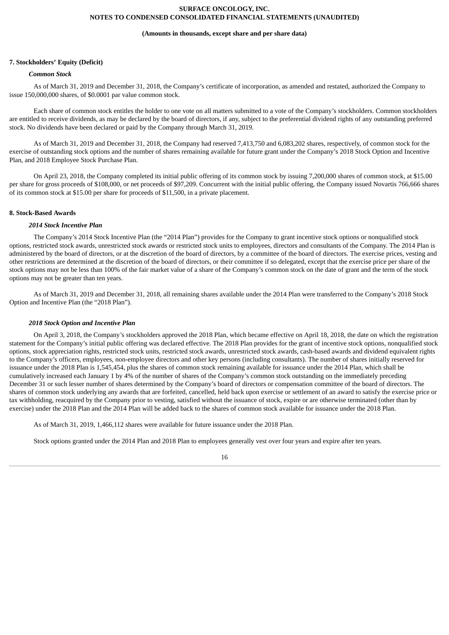#### **(Amounts in thousands, except share and per share data)**

### **7. Stockholders' Equity (Deficit)**

# *Common Stock*

As of March 31, 2019 and December 31, 2018, the Company's certificate of incorporation, as amended and restated, authorized the Company to issue 150,000,000 shares, of \$0.0001 par value common stock.

Each share of common stock entitles the holder to one vote on all matters submitted to a vote of the Company's stockholders. Common stockholders are entitled to receive dividends, as may be declared by the board of directors, if any, subject to the preferential dividend rights of any outstanding preferred stock. No dividends have been declared or paid by the Company through March 31, 2019.

As of March 31, 2019 and December 31, 2018, the Company had reserved 7,413,750 and 6,083,202 shares, respectively, of common stock for the exercise of outstanding stock options and the number of shares remaining available for future grant under the Company's 2018 Stock Option and Incentive Plan, and 2018 Employee Stock Purchase Plan.

On April 23, 2018, the Company completed its initial public offering of its common stock by issuing 7,200,000 shares of common stock, at \$15.00 per share for gross proceeds of \$108,000, or net proceeds of \$97,209. Concurrent with the initial public offering, the Company issued Novartis 766,666 shares of its common stock at \$15.00 per share for proceeds of \$11,500, in a private placement.

# **8. Stock-Based Awards**

### *2014 Stock Incentive Plan*

The Company's 2014 Stock Incentive Plan (the "2014 Plan") provides for the Company to grant incentive stock options or nonqualified stock options, restricted stock awards, unrestricted stock awards or restricted stock units to employees, directors and consultants of the Company. The 2014 Plan is administered by the board of directors, or at the discretion of the board of directors, by a committee of the board of directors. The exercise prices, vesting and other restrictions are determined at the discretion of the board of directors, or their committee if so delegated, except that the exercise price per share of the stock options may not be less than 100% of the fair market value of a share of the Company's common stock on the date of grant and the term of the stock options may not be greater than ten years.

As of March 31, 2019 and December 31, 2018, all remaining shares available under the 2014 Plan were transferred to the Company's 2018 Stock Option and Incentive Plan (the "2018 Plan").

#### *2018 Stock Option and Incentive Plan*

On April 3, 2018, the Company's stockholders approved the 2018 Plan, which became effective on April 18, 2018, the date on which the registration statement for the Company's initial public offering was declared effective. The 2018 Plan provides for the grant of incentive stock options, nonqualified stock options, stock appreciation rights, restricted stock units, restricted stock awards, unrestricted stock awards, cash-based awards and dividend equivalent rights to the Company's officers, employees, non-employee directors and other key persons (including consultants). The number of shares initially reserved for issuance under the 2018 Plan is 1,545,454, plus the shares of common stock remaining available for issuance under the 2014 Plan, which shall be cumulatively increased each January 1 by 4% of the number of shares of the Company's common stock outstanding on the immediately preceding December 31 or such lesser number of shares determined by the Company's board of directors or compensation committee of the board of directors. The shares of common stock underlying any awards that are forfeited, cancelled, held back upon exercise or settlement of an award to satisfy the exercise price or tax withholding, reacquired by the Company prior to vesting, satisfied without the issuance of stock, expire or are otherwise terminated (other than by exercise) under the 2018 Plan and the 2014 Plan will be added back to the shares of common stock available for issuance under the 2018 Plan.

As of March 31, 2019, 1,466,112 shares were available for future issuance under the 2018 Plan.

Stock options granted under the 2014 Plan and 2018 Plan to employees generally vest over four years and expire after ten years.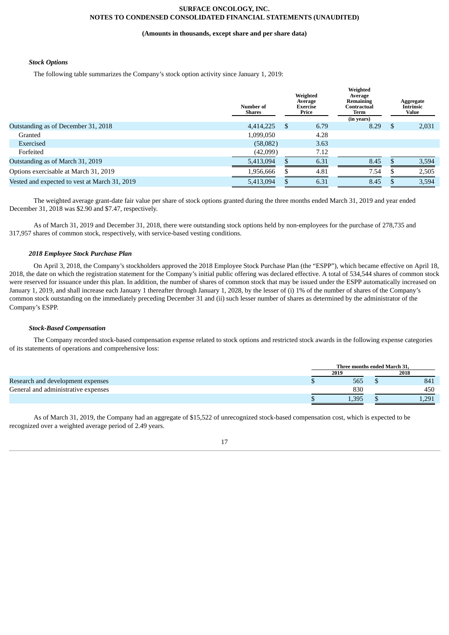### **(Amounts in thousands, except share and per share data)**

# *Stock Options*

The following table summarizes the Company's stock option activity since January 1, 2019:

|                                               | Number of<br>Shares | Weighted<br>Average<br>Exercise<br>Price |      | Weighted<br>Average<br>Remaining<br>Contractual<br>Term<br>(in years) |     | Aggregate<br><b>Intrinsic</b><br>Value |
|-----------------------------------------------|---------------------|------------------------------------------|------|-----------------------------------------------------------------------|-----|----------------------------------------|
| Outstanding as of December 31, 2018           | 4,414,225           | \$                                       | 6.79 | 8.29                                                                  | \$. | 2,031                                  |
| Granted                                       | 1,099,050           |                                          | 4.28 |                                                                       |     |                                        |
| Exercised                                     | (58,082)            |                                          | 3.63 |                                                                       |     |                                        |
| Forfeited                                     | (42,099)            |                                          | 7.12 |                                                                       |     |                                        |
| Outstanding as of March 31, 2019              | 5,413,094           |                                          | 6.31 | 8.45                                                                  |     | 3,594                                  |
| Options exercisable at March 31, 2019         | 1,956,666           |                                          | 4.81 | 7.54                                                                  |     | 2,505                                  |
| Vested and expected to vest at March 31, 2019 | 5,413,094           |                                          | 6.31 | 8.45                                                                  |     | 3,594                                  |

The weighted average grant-date fair value per share of stock options granted during the three months ended March 31, 2019 and year ended December 31, 2018 was \$2.90 and \$7.47, respectively.

As of March 31, 2019 and December 31, 2018, there were outstanding stock options held by non-employees for the purchase of 278,735 and 317,957 shares of common stock, respectively, with service-based vesting conditions.

### *2018 Employee Stock Purchase Plan*

On April 3, 2018, the Company's stockholders approved the 2018 Employee Stock Purchase Plan (the "ESPP"), which became effective on April 18, 2018, the date on which the registration statement for the Company's initial public offering was declared effective. A total of 534,544 shares of common stock were reserved for issuance under this plan. In addition, the number of shares of common stock that may be issued under the ESPP automatically increased on January 1, 2019, and shall increase each January 1 thereafter through January 1, 2028, by the lesser of (i) 1% of the number of shares of the Company's common stock outstanding on the immediately preceding December 31 and (ii) such lesser number of shares as determined by the administrator of the Company's ESPP.

### *Stock-Based Compensation*

The Company recorded stock-based compensation expense related to stock options and restricted stock awards in the following expense categories of its statements of operations and comprehensive loss:

|                                     | Three months ended March 31, |  |              |  |  |
|-------------------------------------|------------------------------|--|--------------|--|--|
|                                     | 2019                         |  | 2018         |  |  |
| Research and development expenses   | 565                          |  | 841          |  |  |
| General and administrative expenses | 830                          |  | 450          |  |  |
|                                     | 1,395                        |  | 201<br>⊥,∠اب |  |  |

As of March 31, 2019, the Company had an aggregate of \$15,522 of unrecognized stock-based compensation cost, which is expected to be recognized over a weighted average period of 2.49 years.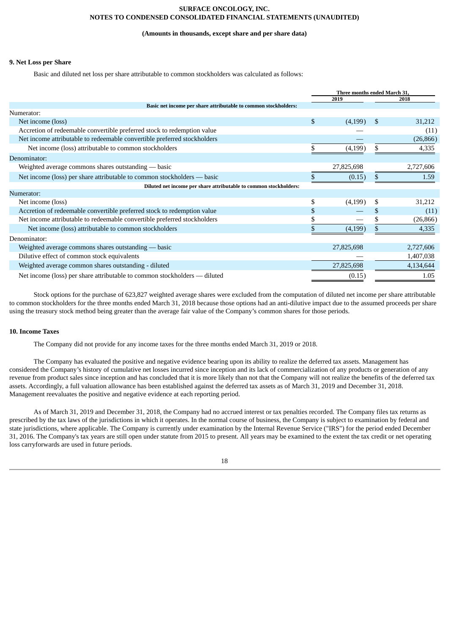# **(Amounts in thousands, except share and per share data)**

### **9. Net Loss per Share**

Basic and diluted net loss per share attributable to common stockholders was calculated as follows:

|                                                                           | Three months ended March 31, |            |               |           |
|---------------------------------------------------------------------------|------------------------------|------------|---------------|-----------|
|                                                                           |                              | 2019       |               | 2018      |
| Basic net income per share attributable to common stockholders:           |                              |            |               |           |
| Numerator:                                                                |                              |            |               |           |
| Net income (loss)                                                         | \$                           | (4,199)    | <sup>\$</sup> | 31,212    |
| Accretion of redeemable convertible preferred stock to redemption value   |                              |            |               | (11)      |
| Net income attributable to redeemable convertible preferred stockholders  |                              |            |               | (26, 866) |
| Net income (loss) attributable to common stockholders                     |                              | (4, 199)   |               | 4,335     |
| Denominator:                                                              |                              |            |               |           |
| Weighted average commons shares outstanding — basic                       |                              | 27,825,698 |               | 2,727,606 |
| Net income (loss) per share attributable to common stockholders — basic   |                              | (0.15)     |               | 1.59      |
| Diluted net income per share attributable to common stockholders:         |                              |            |               |           |
| Numerator:                                                                |                              |            |               |           |
| Net income (loss)                                                         | \$                           | (4,199)    | S             | 31,212    |
| Accretion of redeemable convertible preferred stock to redemption value   | S                            |            |               | (11)      |
| Net income attributable to redeemable convertible preferred stockholders  |                              |            |               | (26, 866) |
| Net income (loss) attributable to common stockholders                     |                              | (4,199)    |               | 4,335     |
| Denominator:                                                              |                              |            |               |           |
| Weighted average commons shares outstanding — basic                       |                              | 27,825,698 |               | 2,727,606 |
| Dilutive effect of common stock equivalents                               |                              |            |               | 1,407,038 |
| Weighted average common shares outstanding - diluted                      |                              | 27,825,698 |               | 4,134,644 |
| Net income (loss) per share attributable to common stockholders — diluted |                              | (0.15)     |               | 1.05      |

Stock options for the purchase of 623,827 weighted average shares were excluded from the computation of diluted net income per share attributable to common stockholders for the three months ended March 31, 2018 because those options had an anti-dilutive impact due to the assumed proceeds per share using the treasury stock method being greater than the average fair value of the Company's common shares for those periods.

### **10. Income Taxes**

The Company did not provide for any income taxes for the three months ended March 31, 2019 or 2018.

The Company has evaluated the positive and negative evidence bearing upon its ability to realize the deferred tax assets. Management has considered the Company's history of cumulative net losses incurred since inception and its lack of commercialization of any products or generation of any revenue from product sales since inception and has concluded that it is more likely than not that the Company will not realize the benefits of the deferred tax assets. Accordingly, a full valuation allowance has been established against the deferred tax assets as of March 31, 2019 and December 31, 2018. Management reevaluates the positive and negative evidence at each reporting period.

As of March 31, 2019 and December 31, 2018, the Company had no accrued interest or tax penalties recorded. The Company files tax returns as prescribed by the tax laws of the jurisdictions in which it operates. In the normal course of business, the Company is subject to examination by federal and state jurisdictions, where applicable. The Company is currently under examination by the Internal Revenue Service ("IRS") for the period ended December 31, 2016. The Company's tax years are still open under statute from 2015 to present. All years may be examined to the extent the tax credit or net operating loss carryforwards are used in future periods.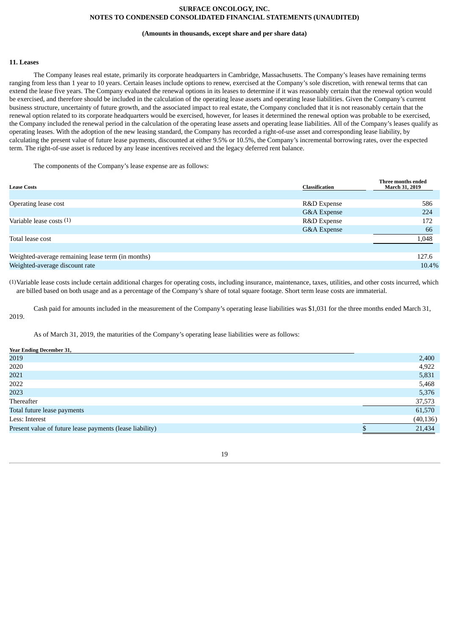### **(Amounts in thousands, except share and per share data)**

# **11. Leases**

The Company leases real estate, primarily its corporate headquarters in Cambridge, Massachusetts. The Company's leases have remaining terms ranging from less than 1 year to 10 years. Certain leases include options to renew, exercised at the Company's sole discretion, with renewal terms that can extend the lease five years. The Company evaluated the renewal options in its leases to determine if it was reasonably certain that the renewal option would be exercised, and therefore should be included in the calculation of the operating lease assets and operating lease liabilities. Given the Company's current business structure, uncertainty of future growth, and the associated impact to real estate, the Company concluded that it is not reasonably certain that the renewal option related to its corporate headquarters would be exercised, however, for leases it determined the renewal option was probable to be exercised, the Company included the renewal period in the calculation of the operating lease assets and operating lease liabilities. All of the Company's leases qualify as operating leases. With the adoption of the new leasing standard, the Company has recorded a right-of-use asset and corresponding lease liability, by calculating the present value of future lease payments, discounted at either 9.5% or 10.5%, the Company's incremental borrowing rates, over the expected term. The right-of-use asset is reduced by any lease incentives received and the legacy deferred rent balance.

The components of the Company's lease expense are as follows:

| <b>Lease Costs</b>                                | Classification | Three months ended<br>March 31, 2019 |
|---------------------------------------------------|----------------|--------------------------------------|
|                                                   |                |                                      |
| Operating lease cost                              | R&D Expense    | 586                                  |
|                                                   | G&A Expense    | 224                                  |
| Variable lease costs (1)                          | R&D Expense    | 172                                  |
|                                                   | G&A Expense    | 66                                   |
| Total lease cost                                  |                | 1,048                                |
|                                                   |                |                                      |
| Weighted-average remaining lease term (in months) |                | 127.6                                |
| Weighted-average discount rate                    |                | 10.4%                                |

(1)Variable lease costs include certain additional charges for operating costs, including insurance, maintenance, taxes, utilities, and other costs incurred, which are billed based on both usage and as a percentage of the Company's share of total square footage. Short term lease costs are immaterial.

Cash paid for amounts included in the measurement of the Company's operating lease liabilities was \$1,031 for the three months ended March 31, 2019.

As of March 31, 2019, the maturities of the Company's operating lease liabilities were as follows:

| <b>Year Ending December 31,</b>                          |           |
|----------------------------------------------------------|-----------|
| 2019                                                     | 2,400     |
| 2020                                                     | 4,922     |
| 2021                                                     | 5,831     |
| 2022                                                     | 5,468     |
| 2023                                                     | 5,376     |
| Thereafter                                               | 37,573    |
| Total future lease payments                              | 61,570    |
| Less: Interest                                           | (40, 136) |
| Present value of future lease payments (lease liability) | 21,434    |
|                                                          |           |

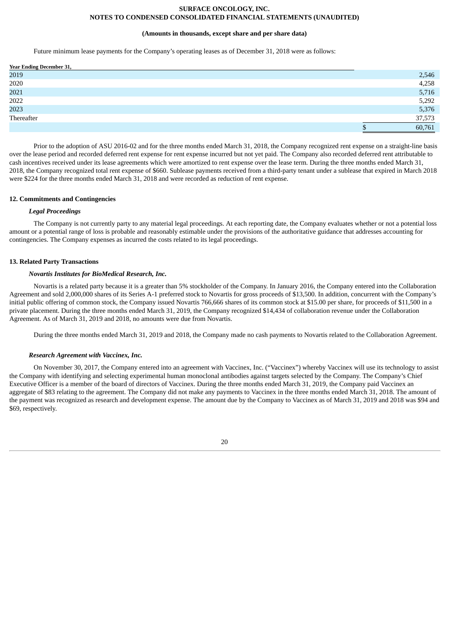### **(Amounts in thousands, except share and per share data)**

Future minimum lease payments for the Company's operating leases as of December 31, 2018 were as follows:

| Year Ending December 31, |        |
|--------------------------|--------|
| 2019                     | 2,546  |
| 2020                     | 4,258  |
| 2021                     | 5,716  |
| 2022                     | 5,292  |
| 2023                     | 5,376  |
| Thereafter               | 37,573 |
|                          | 60,761 |

Prior to the adoption of ASU 2016-02 and for the three months ended March 31, 2018, the Company recognized rent expense on a straight-line basis over the lease period and recorded deferred rent expense for rent expense incurred but not yet paid. The Company also recorded deferred rent attributable to cash incentives received under its lease agreements which were amortized to rent expense over the lease term. During the three months ended March 31, 2018, the Company recognized total rent expense of \$660. Sublease payments received from a third-party tenant under a sublease that expired in March 2018 were \$224 for the three months ended March 31, 2018 and were recorded as reduction of rent expense.

## **12. Commitments and Contingencies**

# *Legal Proceedings*

The Company is not currently party to any material legal proceedings. At each reporting date, the Company evaluates whether or not a potential loss amount or a potential range of loss is probable and reasonably estimable under the provisions of the authoritative guidance that addresses accounting for contingencies. The Company expenses as incurred the costs related to its legal proceedings.

### **13. Related Party Transactions**

#### *Novartis Institutes for BioMedical Research, Inc.*

Novartis is a related party because it is a greater than 5% stockholder of the Company. In January 2016, the Company entered into the Collaboration Agreement and sold 2,000,000 shares of its Series A-1 preferred stock to Novartis for gross proceeds of \$13,500. In addition, concurrent with the Company's initial public offering of common stock, the Company issued Novartis 766,666 shares of its common stock at \$15.00 per share, for proceeds of \$11,500 in a private placement. During the three months ended March 31, 2019, the Company recognized \$14,434 of collaboration revenue under the Collaboration Agreement. As of March 31, 2019 and 2018, no amounts were due from Novartis.

During the three months ended March 31, 2019 and 2018, the Company made no cash payments to Novartis related to the Collaboration Agreement.

### *Research Agreement with Vaccinex, Inc.*

On November 30, 2017, the Company entered into an agreement with Vaccinex, Inc. ("Vaccinex") whereby Vaccinex will use its technology to assist the Company with identifying and selecting experimental human monoclonal antibodies against targets selected by the Company. The Company's Chief Executive Officer is a member of the board of directors of Vaccinex. During the three months ended March 31, 2019, the Company paid Vaccinex an aggregate of \$83 relating to the agreement. The Company did not make any payments to Vaccinex in the three months ended March 31, 2018. The amount of the payment was recognized as research and development expense. The amount due by the Company to Vaccinex as of March 31, 2019 and 2018 was \$94 and \$69, respectively.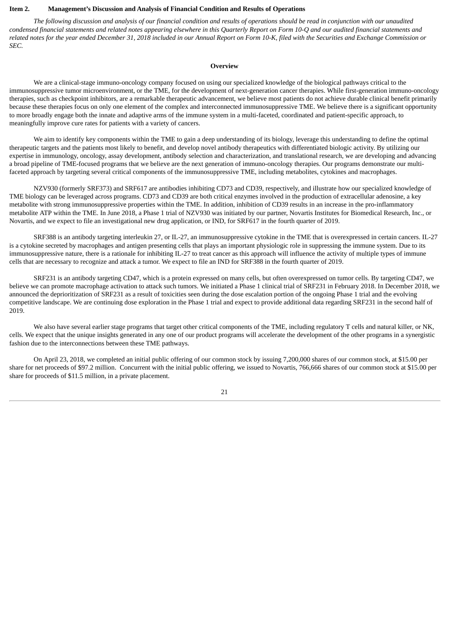# <span id="page-21-0"></span>**Item 2. Management's Discussion and Analysis of Financial Condition and Results of Operations**

The following discussion and analysis of our financial condition and results of operations should be read in conjunction with our unaudited condensed financial statements and related notes appearing elsewhere in this Quarterly Report on Form 10-Q and our audited financial statements and related notes for the year ended December 31, 2018 included in our Annual Report on Form 10-K, filed with the Securities and Exchange Commission or *SEC.*

### **Overview**

We are a clinical-stage immuno-oncology company focused on using our specialized knowledge of the biological pathways critical to the immunosuppressive tumor microenvironment, or the TME, for the development of next-generation cancer therapies. While first-generation immuno-oncology therapies, such as checkpoint inhibitors, are a remarkable therapeutic advancement, we believe most patients do not achieve durable clinical benefit primarily because these therapies focus on only one element of the complex and interconnected immunosuppressive TME. We believe there is a significant opportunity to more broadly engage both the innate and adaptive arms of the immune system in a multi-faceted, coordinated and patient-specific approach, to meaningfully improve cure rates for patients with a variety of cancers.

We aim to identify key components within the TME to gain a deep understanding of its biology, leverage this understanding to define the optimal therapeutic targets and the patients most likely to benefit, and develop novel antibody therapeutics with differentiated biologic activity. By utilizing our expertise in immunology, oncology, assay development, antibody selection and characterization, and translational research, we are developing and advancing a broad pipeline of TME-focused programs that we believe are the next generation of immuno-oncology therapies. Our programs demonstrate our multifaceted approach by targeting several critical components of the immunosuppressive TME, including metabolites, cytokines and macrophages.

NZV930 (formerly SRF373) and SRF617 are antibodies inhibiting CD73 and CD39, respectively, and illustrate how our specialized knowledge of TME biology can be leveraged across programs. CD73 and CD39 are both critical enzymes involved in the production of extracellular adenosine, a key metabolite with strong immunosuppressive properties within the TME. In addition, inhibition of CD39 results in an increase in the pro-inflammatory metabolite ATP within the TME. In June 2018, a Phase 1 trial of NZV930 was initiated by our partner, Novartis Institutes for Biomedical Research, Inc., or Novartis, and we expect to file an investigational new drug application, or IND, for SRF617 in the fourth quarter of 2019.

SRF388 is an antibody targeting interleukin 27, or IL-27, an immunosuppressive cytokine in the TME that is overexpressed in certain cancers. IL-27 is a cytokine secreted by macrophages and antigen presenting cells that plays an important physiologic role in suppressing the immune system. Due to its immunosuppressive nature, there is a rationale for inhibiting IL-27 to treat cancer as this approach will influence the activity of multiple types of immune cells that are necessary to recognize and attack a tumor. We expect to file an IND for SRF388 in the fourth quarter of 2019.

SRF231 is an antibody targeting CD47, which is a protein expressed on many cells, but often overexpressed on tumor cells. By targeting CD47, we believe we can promote macrophage activation to attack such tumors. We initiated a Phase 1 clinical trial of SRF231 in February 2018. In December 2018, we announced the deprioritization of SRF231 as a result of toxicities seen during the dose escalation portion of the ongoing Phase 1 trial and the evolving competitive landscape. We are continuing dose exploration in the Phase 1 trial and expect to provide additional data regarding SRF231 in the second half of 2019.

We also have several earlier stage programs that target other critical components of the TME, including regulatory T cells and natural killer, or NK, cells. We expect that the unique insights generated in any one of our product programs will accelerate the development of the other programs in a synergistic fashion due to the interconnections between these TME pathways.

On April 23, 2018, we completed an initial public offering of our common stock by issuing 7,200,000 shares of our common stock, at \$15.00 per share for net proceeds of \$97.2 million. Concurrent with the initial public offering, we issued to Novartis, 766,666 shares of our common stock at \$15.00 per share for proceeds of \$11.5 million, in a private placement.

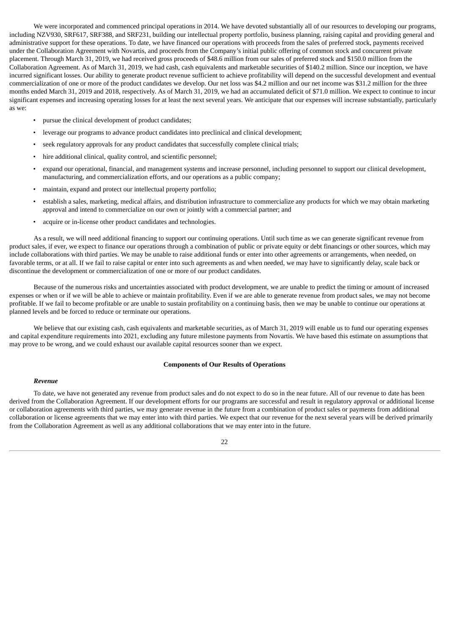We were incorporated and commenced principal operations in 2014. We have devoted substantially all of our resources to developing our programs, including NZV930, SRF617, SRF388, and SRF231, building our intellectual property portfolio, business planning, raising capital and providing general and administrative support for these operations. To date, we have financed our operations with proceeds from the sales of preferred stock, payments received under the Collaboration Agreement with Novartis, and proceeds from the Company's initial public offering of common stock and concurrent private placement. Through March 31, 2019, we had received gross proceeds of \$48.6 million from our sales of preferred stock and \$150.0 million from the Collaboration Agreement. As of March 31, 2019, we had cash, cash equivalents and marketable securities of \$140.2 million. Since our inception, we have incurred significant losses. Our ability to generate product revenue sufficient to achieve profitability will depend on the successful development and eventual commercialization of one or more of the product candidates we develop. Our net loss was \$4.2 million and our net income was \$31.2 million for the three months ended March 31, 2019 and 2018, respectively. As of March 31, 2019, we had an accumulated deficit of \$71.0 million. We expect to continue to incur significant expenses and increasing operating losses for at least the next several years. We anticipate that our expenses will increase substantially, particularly as we:

- pursue the clinical development of product candidates;
- leverage our programs to advance product candidates into preclinical and clinical development;
- seek regulatory approvals for any product candidates that successfully complete clinical trials;
- hire additional clinical, quality control, and scientific personnel:
- expand our operational, financial, and management systems and increase personnel, including personnel to support our clinical development, manufacturing, and commercialization efforts, and our operations as a public company;
- maintain, expand and protect our intellectual property portfolio;
- establish a sales, marketing, medical affairs, and distribution infrastructure to commercialize any products for which we may obtain marketing approval and intend to commercialize on our own or jointly with a commercial partner; and
- acquire or in-license other product candidates and technologies.

As a result, we will need additional financing to support our continuing operations. Until such time as we can generate significant revenue from product sales, if ever, we expect to finance our operations through a combination of public or private equity or debt financings or other sources, which may include collaborations with third parties. We may be unable to raise additional funds or enter into other agreements or arrangements, when needed, on favorable terms, or at all. If we fail to raise capital or enter into such agreements as and when needed, we may have to significantly delay, scale back or discontinue the development or commercialization of one or more of our product candidates.

Because of the numerous risks and uncertainties associated with product development, we are unable to predict the timing or amount of increased expenses or when or if we will be able to achieve or maintain profitability. Even if we are able to generate revenue from product sales, we may not become profitable. If we fail to become profitable or are unable to sustain profitability on a continuing basis, then we may be unable to continue our operations at planned levels and be forced to reduce or terminate our operations.

We believe that our existing cash, cash equivalents and marketable securities, as of March 31, 2019 will enable us to fund our operating expenses and capital expenditure requirements into 2021, excluding any future milestone payments from Novartis. We have based this estimate on assumptions that may prove to be wrong, and we could exhaust our available capital resources sooner than we expect.

# **Components of Our Results of Operations**

#### *Revenue*

To date, we have not generated any revenue from product sales and do not expect to do so in the near future. All of our revenue to date has been derived from the Collaboration Agreement. If our development efforts for our programs are successful and result in regulatory approval or additional license or collaboration agreements with third parties, we may generate revenue in the future from a combination of product sales or payments from additional collaboration or license agreements that we may enter into with third parties. We expect that our revenue for the next several years will be derived primarily from the Collaboration Agreement as well as any additional collaborations that we may enter into in the future.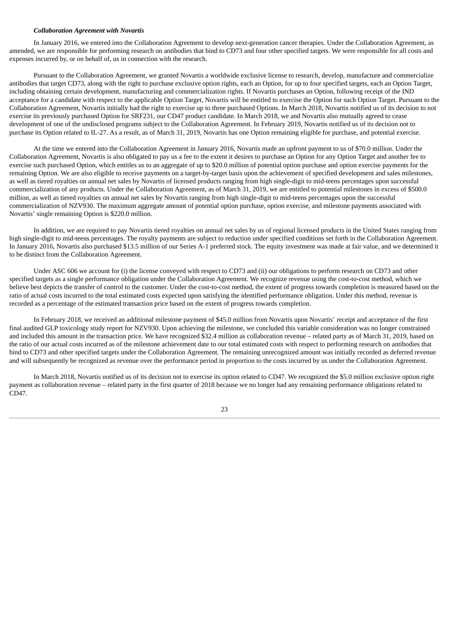### *Collaboration Agreement with Novartis*

In January 2016, we entered into the Collaboration Agreement to develop next-generation cancer therapies. Under the Collaboration Agreement, as amended, we are responsible for performing research on antibodies that bind to CD73 and four other specified targets. We were responsible for all costs and expenses incurred by, or on behalf of, us in connection with the research.

Pursuant to the Collaboration Agreement, we granted Novartis a worldwide exclusive license to research, develop, manufacture and commercialize antibodies that target CD73, along with the right to purchase exclusive option rights, each an Option, for up to four specified targets, each an Option Target, including obtaining certain development, manufacturing and commercialization rights. If Novartis purchases an Option, following receipt of the IND acceptance for a candidate with respect to the applicable Option Target, Novartis will be entitled to exercise the Option for such Option Target. Pursuant to the Collaboration Agreement, Novartis initially had the right to exercise up to three purchased Options. In March 2018, Novartis notified us of its decision to not exercise its previously purchased Option for SRF231, our CD47 product candidate. In March 2018, we and Novartis also mutually agreed to cease development of one of the undisclosed programs subject to the Collaboration Agreement. In February 2019, Novartis notified us of its decision not to purchase its Option related to IL-27. As a result, as of March 31, 2019, Novartis has one Option remaining eligible for purchase, and potential exercise.

At the time we entered into the Collaboration Agreement in January 2016, Novartis made an upfront payment to us of \$70.0 million. Under the Collaboration Agreement, Novartis is also obligated to pay us a fee to the extent it desires to purchase an Option for any Option Target and another fee to exercise such purchased Option, which entitles us to an aggregate of up to \$20.0 million of potential option purchase and option exercise payments for the remaining Option. We are also eligible to receive payments on a target-by-target basis upon the achievement of specified development and sales milestones, as well as tiered royalties on annual net sales by Novartis of licensed products ranging from high single-digit to mid-teens percentages upon successful commercialization of any products. Under the Collaboration Agreement, as of March 31, 2019, we are entitled to potential milestones in excess of \$500.0 million, as well as tiered royalties on annual net sales by Novartis ranging from high single-digit to mid-teens percentages upon the successful commercialization of NZV930. The maximum aggregate amount of potential option purchase, option exercise, and milestone payments associated with Novartis' single remaining Option is \$220.0 million.

In addition, we are required to pay Novartis tiered royalties on annual net sales by us of regional licensed products in the United States ranging from high single-digit to mid-teens percentages. The royalty payments are subject to reduction under specified conditions set forth in the Collaboration Agreement. In January 2016, Novartis also purchased \$13.5 million of our Series A-1 preferred stock. The equity investment was made at fair value, and we determined it to be distinct from the Collaboration Agreement.

Under ASC 606 we account for (i) the license conveyed with respect to CD73 and (ii) our obligations to perform research on CD73 and other specified targets as a single performance obligation under the Collaboration Agreement. We recognize revenue using the cost-to-cost method, which we believe best depicts the transfer of control to the customer. Under the cost-to-cost method, the extent of progress towards completion is measured based on the ratio of actual costs incurred to the total estimated costs expected upon satisfying the identified performance obligation. Under this method, revenue is recorded as a percentage of the estimated transaction price based on the extent of progress towards completion.

In February 2018, we received an additional milestone payment of \$45.0 million from Novartis upon Novartis' receipt and acceptance of the first final audited GLP toxicology study report for NZV930. Upon achieving the milestone, we concluded this variable consideration was no longer constrained and included this amount in the transaction price. We have recognized \$32.4 million as collaboration revenue – related party as of March 31, 2019, based on the ratio of our actual costs incurred as of the milestone achievement date to our total estimated costs with respect to performing research on antibodies that bind to CD73 and other specified targets under the Collaboration Agreement. The remaining unrecognized amount was initially recorded as deferred revenue and will subsequently be recognized as revenue over the performance period in proportion to the costs incurred by us under the Collaboration Agreement.

In March 2018, Novartis notified us of its decision not to exercise its option related to CD47. We recognized the \$5.0 million exclusive option right payment as collaboration revenue – related party in the first quarter of 2018 because we no longer had any remaining performance obligations related to CD47.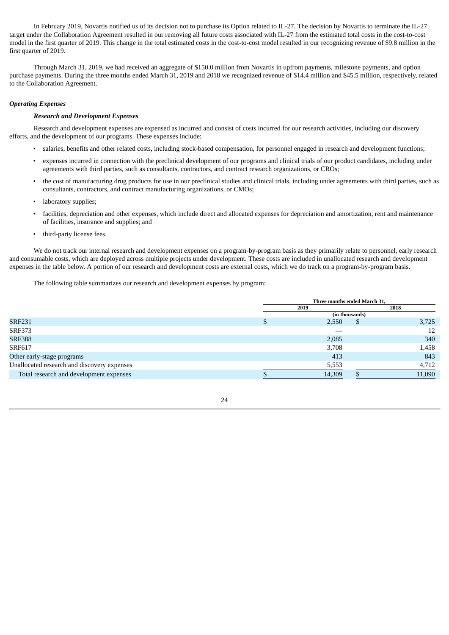In February 2019, Novartis notified us of its decision not to purchase its Option related to IL-27. The decision by Novartis to terminate the IL-27 target under the Collaboration Agreement resulted in our removing all future costs associated with IL-27 from the estimated total costs in the cost-to-cost model in the first quarter of 2019. This change in the total estimated costs in the cost-to-cost model resulted in our recognizing revenue of \$9.8 million in the first quarter of 2019.

Through March 31, 2019, we had received an aggregate of \$150.0 million from Novartis in upfront payments, milestone payments, and option purchase payments. During the three months ended March 31, 2019 and 2018 we recognized revenue of \$14.4 million and \$45.5 million, respectively, related to the Collaboration Agreement.

# *Operating Expenses*

### *Research and Development Expenses*

Research and development expenses are expensed as incurred and consist of costs incurred for our research activities, including our discovery efforts, and the development of our programs. These expenses include:

- salaries, benefits and other related costs, including stock-based compensation, for personnel engaged in research and development functions;
- expenses incurred in connection with the preclinical development of our programs and clinical trials of our product candidates, including under agreements with third parties, such as consultants, contractors, and contract research organizations, or CROs;
- the cost of manufacturing drug products for use in our preclinical studies and clinical trials, including under agreements with third parties, such as consultants, contractors, and contract manufacturing organizations, or CMOs;
- laboratory supplies;
- facilities, depreciation and other expenses, which include direct and allocated expenses for depreciation and amortization, rent and maintenance of facilities, insurance and supplies; and
- third-party license fees.

We do not track our internal research and development expenses on a program-by-program basis as they primarily relate to personnel, early research and consumable costs, which are deployed across multiple projects under development. These costs are included in unallocated research and development expenses in the table below. A portion of our research and development costs are external costs, which we do track on a program-by-program basis.

The following table summarizes our research and development expenses by program:

|                                             | Three months ended March 31, |                |        |  |  |  |  |
|---------------------------------------------|------------------------------|----------------|--------|--|--|--|--|
|                                             | 2019                         |                | 2018   |  |  |  |  |
|                                             |                              | (in thousands) |        |  |  |  |  |
| <b>SRF231</b>                               | 2,550<br>Œ                   |                | 3,725  |  |  |  |  |
| <b>SRF373</b>                               |                              |                | 12     |  |  |  |  |
| <b>SRF388</b>                               | 2,085                        |                | 340    |  |  |  |  |
| SRF617                                      | 3,708                        |                | 1,458  |  |  |  |  |
| Other early-stage programs                  | 413                          |                | 843    |  |  |  |  |
| Unallocated research and discovery expenses | 5,553                        |                | 4,712  |  |  |  |  |
| Total research and development expenses     | 14,309                       |                | 11,090 |  |  |  |  |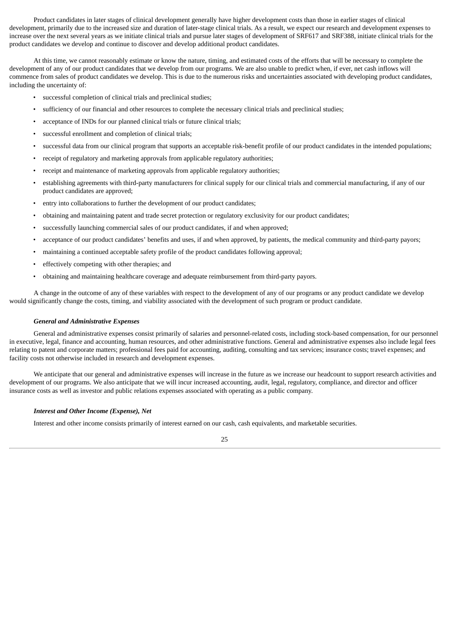Product candidates in later stages of clinical development generally have higher development costs than those in earlier stages of clinical development, primarily due to the increased size and duration of later-stage clinical trials. As a result, we expect our research and development expenses to increase over the next several years as we initiate clinical trials and pursue later stages of development of SRF617 and SRF388, initiate clinical trials for the product candidates we develop and continue to discover and develop additional product candidates.

At this time, we cannot reasonably estimate or know the nature, timing, and estimated costs of the efforts that will be necessary to complete the development of any of our product candidates that we develop from our programs. We are also unable to predict when, if ever, net cash inflows will commence from sales of product candidates we develop. This is due to the numerous risks and uncertainties associated with developing product candidates, including the uncertainty of:

- successful completion of clinical trials and preclinical studies;
- sufficiency of our financial and other resources to complete the necessary clinical trials and preclinical studies;
- acceptance of INDs for our planned clinical trials or future clinical trials;
- successful enrollment and completion of clinical trials;
- successful data from our clinical program that supports an acceptable risk-benefit profile of our product candidates in the intended populations;
- receipt of regulatory and marketing approvals from applicable regulatory authorities;
- receipt and maintenance of marketing approvals from applicable regulatory authorities;
- establishing agreements with third-party manufacturers for clinical supply for our clinical trials and commercial manufacturing, if any of our product candidates are approved;
- entry into collaborations to further the development of our product candidates:
- obtaining and maintaining patent and trade secret protection or regulatory exclusivity for our product candidates;
- successfully launching commercial sales of our product candidates, if and when approved;
- acceptance of our product candidates' benefits and uses, if and when approved, by patients, the medical community and third-party payors;
- maintaining a continued acceptable safety profile of the product candidates following approval;
- effectively competing with other therapies; and
- obtaining and maintaining healthcare coverage and adequate reimbursement from third-party payors.

A change in the outcome of any of these variables with respect to the development of any of our programs or any product candidate we develop would significantly change the costs, timing, and viability associated with the development of such program or product candidate.

### *General and Administrative Expenses*

General and administrative expenses consist primarily of salaries and personnel-related costs, including stock-based compensation, for our personnel in executive, legal, finance and accounting, human resources, and other administrative functions. General and administrative expenses also include legal fees relating to patent and corporate matters; professional fees paid for accounting, auditing, consulting and tax services; insurance costs; travel expenses; and facility costs not otherwise included in research and development expenses.

We anticipate that our general and administrative expenses will increase in the future as we increase our headcount to support research activities and development of our programs. We also anticipate that we will incur increased accounting, audit, legal, regulatory, compliance, and director and officer insurance costs as well as investor and public relations expenses associated with operating as a public company.

### *Interest and Other Income (Expense), Net*

Interest and other income consists primarily of interest earned on our cash, cash equivalents, and marketable securities.

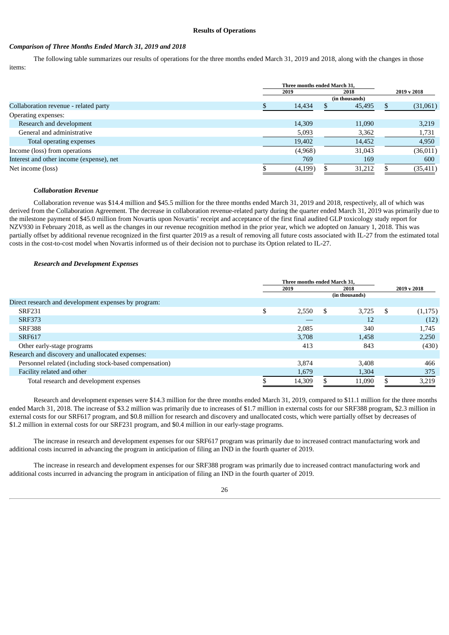### **Results of Operations**

# *Comparison of Three Months Ended March 31, 2019 and 2018*

The following table summarizes our results of operations for the three months ended March 31, 2019 and 2018, along with the changes in those items:

|                                          | Three months ended March 31. |         |  |                |             |  |
|------------------------------------------|------------------------------|---------|--|----------------|-------------|--|
|                                          |                              | 2019    |  | 2018           | 2019 v 2018 |  |
|                                          |                              |         |  | (in thousands) |             |  |
| Collaboration revenue - related party    |                              | 14,434  |  | 45,495         | (31,061)    |  |
| Operating expenses:                      |                              |         |  |                |             |  |
| Research and development                 |                              | 14,309  |  | 11,090         | 3,219       |  |
| General and administrative               |                              | 5,093   |  | 3,362          | 1,731       |  |
| Total operating expenses                 |                              | 19,402  |  | 14,452         | 4,950       |  |
| Income (loss) from operations            |                              | (4,968) |  | 31,043         | (36, 011)   |  |
| Interest and other income (expense), net |                              | 769     |  | 169            | 600         |  |
| Net income (loss)                        |                              | (4,199) |  | 31,212         | (35, 411)   |  |
|                                          |                              |         |  |                |             |  |

### *Collaboration Revenue*

Collaboration revenue was \$14.4 million and \$45.5 million for the three months ended March 31, 2019 and 2018, respectively, all of which was derived from the Collaboration Agreement. The decrease in collaboration revenue-related party during the quarter ended March 31, 2019 was primarily due to the milestone payment of \$45.0 million from Novartis upon Novartis' receipt and acceptance of the first final audited GLP toxicology study report for NZV930 in February 2018, as well as the changes in our revenue recognition method in the prior year, which we adopted on January 1, 2018. This was partially offset by additional revenue recognized in the first quarter 2019 as a result of removing all future costs associated with IL-27 from the estimated total costs in the cost-to-cost model when Novartis informed us of their decision not to purchase its Option related to IL-27.

## *Research and Development Expenses*

|                                                        | Three months ended March 31. |              |   |                |             |         |
|--------------------------------------------------------|------------------------------|--------------|---|----------------|-------------|---------|
|                                                        |                              | 2018<br>2019 |   |                | 2019 v 2018 |         |
|                                                        |                              |              |   | (in thousands) |             |         |
| Direct research and development expenses by program:   |                              |              |   |                |             |         |
| <b>SRF231</b>                                          | \$                           | 2,550        | S | 3.725          | - \$        | (1,175) |
| <b>SRF373</b>                                          |                              |              |   | 12             |             | (12)    |
| <b>SRF388</b>                                          |                              | 2,085        |   | 340            |             | 1,745   |
| <b>SRF617</b>                                          |                              | 3,708        |   | 1,458          |             | 2,250   |
| Other early-stage programs                             |                              | 413          |   | 843            |             | (430)   |
| Research and discovery and unallocated expenses:       |                              |              |   |                |             |         |
| Personnel related (including stock-based compensation) |                              | 3.874        |   | 3,408          |             | 466     |
| Facility related and other                             |                              | 1,679        |   | 1,304          |             | 375     |
| Total research and development expenses                |                              | 14,309       |   | 11,090         |             | 3,219   |

Research and development expenses were \$14.3 million for the three months ended March 31, 2019, compared to \$11.1 million for the three months ended March 31, 2018. The increase of \$3.2 million was primarily due to increases of \$1.7 million in external costs for our SRF388 program, \$2.3 million in external costs for our SRF617 program, and \$0.8 million for research and discovery and unallocated costs, which were partially offset by decreases of \$1.2 million in external costs for our SRF231 program, and \$0.4 million in our early-stage programs.

The increase in research and development expenses for our SRF617 program was primarily due to increased contract manufacturing work and additional costs incurred in advancing the program in anticipation of filing an IND in the fourth quarter of 2019.

The increase in research and development expenses for our SRF388 program was primarily due to increased contract manufacturing work and additional costs incurred in advancing the program in anticipation of filing an IND in the fourth quarter of 2019.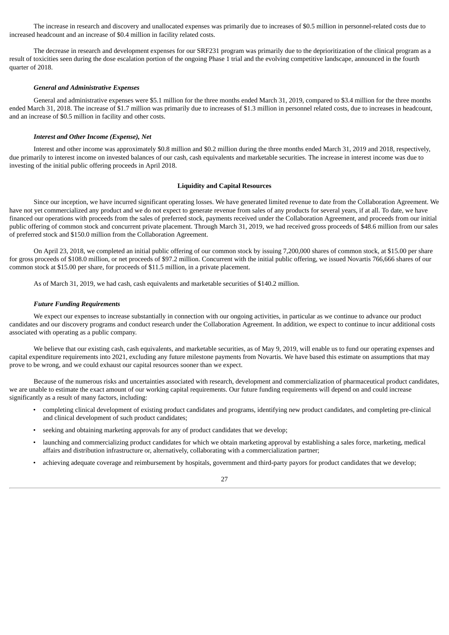The increase in research and discovery and unallocated expenses was primarily due to increases of \$0.5 million in personnel-related costs due to increased headcount and an increase of \$0.4 million in facility related costs.

The decrease in research and development expenses for our SRF231 program was primarily due to the deprioritization of the clinical program as a result of toxicities seen during the dose escalation portion of the ongoing Phase 1 trial and the evolving competitive landscape, announced in the fourth quarter of 2018.

### *General and Administrative Expenses*

General and administrative expenses were \$5.1 million for the three months ended March 31, 2019, compared to \$3.4 million for the three months ended March 31, 2018. The increase of \$1.7 million was primarily due to increases of \$1.3 million in personnel related costs, due to increases in headcount, and an increase of \$0.5 million in facility and other costs.

#### *Interest and Other Income (Expense), Net*

Interest and other income was approximately \$0.8 million and \$0.2 million during the three months ended March 31, 2019 and 2018, respectively, due primarily to interest income on invested balances of our cash, cash equivalents and marketable securities. The increase in interest income was due to investing of the initial public offering proceeds in April 2018.

### **Liquidity and Capital Resources**

Since our inception, we have incurred significant operating losses. We have generated limited revenue to date from the Collaboration Agreement. We have not yet commercialized any product and we do not expect to generate revenue from sales of any products for several years, if at all. To date, we have financed our operations with proceeds from the sales of preferred stock, payments received under the Collaboration Agreement, and proceeds from our initial public offering of common stock and concurrent private placement. Through March 31, 2019, we had received gross proceeds of \$48.6 million from our sales of preferred stock and \$150.0 million from the Collaboration Agreement.

On April 23, 2018, we completed an initial public offering of our common stock by issuing 7,200,000 shares of common stock, at \$15.00 per share for gross proceeds of \$108.0 million, or net proceeds of \$97.2 million. Concurrent with the initial public offering, we issued Novartis 766,666 shares of our common stock at \$15.00 per share, for proceeds of \$11.5 million, in a private placement.

As of March 31, 2019, we had cash, cash equivalents and marketable securities of \$140.2 million.

#### *Future Funding Requirements*

We expect our expenses to increase substantially in connection with our ongoing activities, in particular as we continue to advance our product candidates and our discovery programs and conduct research under the Collaboration Agreement. In addition, we expect to continue to incur additional costs associated with operating as a public company.

We believe that our existing cash, cash equivalents, and marketable securities, as of May 9, 2019, will enable us to fund our operating expenses and capital expenditure requirements into 2021, excluding any future milestone payments from Novartis. We have based this estimate on assumptions that may prove to be wrong, and we could exhaust our capital resources sooner than we expect.

Because of the numerous risks and uncertainties associated with research, development and commercialization of pharmaceutical product candidates, we are unable to estimate the exact amount of our working capital requirements. Our future funding requirements will depend on and could increase significantly as a result of many factors, including:

- completing clinical development of existing product candidates and programs, identifying new product candidates, and completing pre-clinical and clinical development of such product candidates;
- seeking and obtaining marketing approvals for any of product candidates that we develop;
- launching and commercializing product candidates for which we obtain marketing approval by establishing a sales force, marketing, medical affairs and distribution infrastructure or, alternatively, collaborating with a commercialization partner;
- achieving adequate coverage and reimbursement by hospitals, government and third-party payors for product candidates that we develop;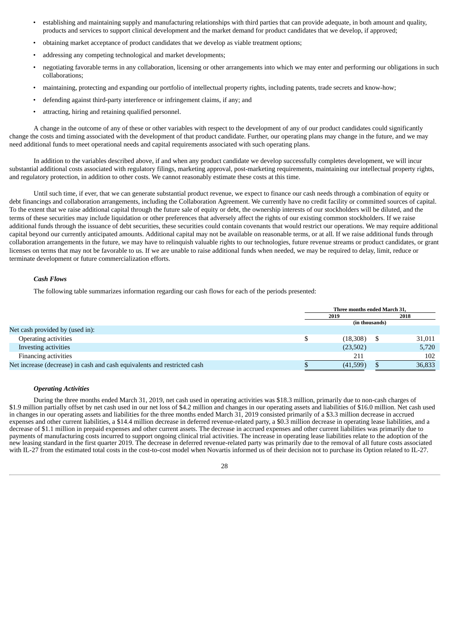- establishing and maintaining supply and manufacturing relationships with third parties that can provide adequate, in both amount and quality, products and services to support clinical development and the market demand for product candidates that we develop, if approved;
- obtaining market acceptance of product candidates that we develop as viable treatment options;
- addressing any competing technological and market developments;
- negotiating favorable terms in any collaboration, licensing or other arrangements into which we may enter and performing our obligations in such collaborations;
- maintaining, protecting and expanding our portfolio of intellectual property rights, including patents, trade secrets and know-how;
- defending against third-party interference or infringement claims, if any; and
- attracting, hiring and retaining qualified personnel.

A change in the outcome of any of these or other variables with respect to the development of any of our product candidates could significantly change the costs and timing associated with the development of that product candidate. Further, our operating plans may change in the future, and we may need additional funds to meet operational needs and capital requirements associated with such operating plans.

In addition to the variables described above, if and when any product candidate we develop successfully completes development, we will incur substantial additional costs associated with regulatory filings, marketing approval, post-marketing requirements, maintaining our intellectual property rights, and regulatory protection, in addition to other costs. We cannot reasonably estimate these costs at this time.

Until such time, if ever, that we can generate substantial product revenue, we expect to finance our cash needs through a combination of equity or debt financings and collaboration arrangements, including the Collaboration Agreement. We currently have no credit facility or committed sources of capital. To the extent that we raise additional capital through the future sale of equity or debt, the ownership interests of our stockholders will be diluted, and the terms of these securities may include liquidation or other preferences that adversely affect the rights of our existing common stockholders. If we raise additional funds through the issuance of debt securities, these securities could contain covenants that would restrict our operations. We may require additional capital beyond our currently anticipated amounts. Additional capital may not be available on reasonable terms, or at all. If we raise additional funds through collaboration arrangements in the future, we may have to relinquish valuable rights to our technologies, future revenue streams or product candidates, or grant licenses on terms that may not be favorable to us. If we are unable to raise additional funds when needed, we may be required to delay, limit, reduce or terminate development or future commercialization efforts.

# *Cash Flows*

The following table summarizes information regarding our cash flows for each of the periods presented:

|                                                                          | Three months ended March 31, |  |        |
|--------------------------------------------------------------------------|------------------------------|--|--------|
|                                                                          | 2018<br>2019                 |  |        |
|                                                                          | (in thousands)               |  |        |
| Net cash provided by (used in):                                          |                              |  |        |
| Operating activities                                                     | (18,308)                     |  | 31,011 |
| <b>Investing activities</b>                                              | (23,502)                     |  | 5,720  |
| Financing activities                                                     | 211                          |  | 102    |
| Net increase (decrease) in cash and cash equivalents and restricted cash | (41,599)                     |  | 36,833 |

#### *Operating Activities*

During the three months ended March 31, 2019, net cash used in operating activities was \$18.3 million, primarily due to non-cash charges of \$1.9 million partially offset by net cash used in our net loss of \$4.2 million and changes in our operating assets and liabilities of \$16.0 million. Net cash used in changes in our operating assets and liabilities for the three months ended March 31, 2019 consisted primarily of a \$3.3 million decrease in accrued expenses and other current liabilities, a \$14.4 million decrease in deferred revenue-related party, a \$0.3 million decrease in operating lease liabilities, and a decrease of \$1.1 million in prepaid expenses and other current assets. The decrease in accrued expenses and other current liabilities was primarily due to payments of manufacturing costs incurred to support ongoing clinical trial activities. The increase in operating lease liabilities relate to the adoption of the new leasing standard in the first quarter 2019. The decrease in deferred revenue-related party was primarily due to the removal of all future costs associated with IL-27 from the estimated total costs in the cost-to-cost model when Novartis informed us of their decision not to purchase its Option related to IL-27.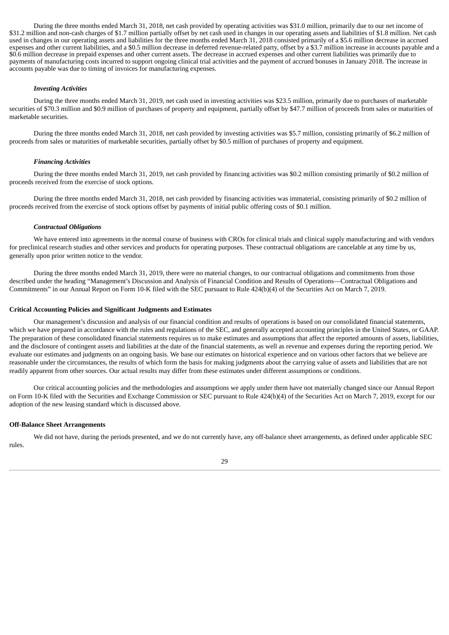During the three months ended March 31, 2018, net cash provided by operating activities was \$31.0 million, primarily due to our net income of \$31.2 million and non-cash charges of \$1.7 million partially offset by net cash used in changes in our operating assets and liabilities of \$1.8 million. Net cash used in changes in our operating assets and liabilities for the three months ended March 31, 2018 consisted primarily of a \$5.6 million decrease in accrued expenses and other current liabilities, and a \$0.5 million decrease in deferred revenue-related party, offset by a \$3.7 million increase in accounts payable and a \$0.6 million decrease in prepaid expenses and other current assets. The decrease in accrued expenses and other current liabilities was primarily due to payments of manufacturing costs incurred to support ongoing clinical trial activities and the payment of accrued bonuses in January 2018. The increase in accounts payable was due to timing of invoices for manufacturing expenses.

### *Investing Activities*

During the three months ended March 31, 2019, net cash used in investing activities was \$23.5 million, primarily due to purchases of marketable securities of \$70.3 million and \$0.9 million of purchases of property and equipment, partially offset by \$47.7 million of proceeds from sales or maturities of marketable securities.

During the three months ended March 31, 2018, net cash provided by investing activities was \$5.7 million, consisting primarily of \$6.2 million of proceeds from sales or maturities of marketable securities, partially offset by \$0.5 million of purchases of property and equipment.

### *Financing Activities*

During the three months ended March 31, 2019, net cash provided by financing activities was \$0.2 million consisting primarily of \$0.2 million of proceeds received from the exercise of stock options.

During the three months ended March 31, 2018, net cash provided by financing activities was immaterial, consisting primarily of \$0.2 million of proceeds received from the exercise of stock options offset by payments of initial public offering costs of \$0.1 million.

### *Contractual Obligations*

We have entered into agreements in the normal course of business with CROs for clinical trials and clinical supply manufacturing and with vendors for preclinical research studies and other services and products for operating purposes. These contractual obligations are cancelable at any time by us, generally upon prior written notice to the vendor.

During the three months ended March 31, 2019, there were no material changes, to our contractual obligations and commitments from those described under the heading "Management's Discussion and Analysis of Financial Condition and Results of Operations—Contractual Obligations and Commitments" in our Annual Report on Form 10-K filed with the SEC pursuant to Rule 424(b)(4) of the Securities Act on March 7, 2019.

### **Critical Accounting Policies and Significant Judgments and Estimates**

Our management's discussion and analysis of our financial condition and results of operations is based on our consolidated financial statements, which we have prepared in accordance with the rules and regulations of the SEC, and generally accepted accounting principles in the United States, or GAAP. The preparation of these consolidated financial statements requires us to make estimates and assumptions that affect the reported amounts of assets, liabilities, and the disclosure of contingent assets and liabilities at the date of the financial statements, as well as revenue and expenses during the reporting period. We evaluate our estimates and judgments on an ongoing basis. We base our estimates on historical experience and on various other factors that we believe are reasonable under the circumstances, the results of which form the basis for making judgments about the carrying value of assets and liabilities that are not readily apparent from other sources. Our actual results may differ from these estimates under different assumptions or conditions.

Our critical accounting policies and the methodologies and assumptions we apply under them have not materially changed since our Annual Report on Form 10-K filed with the Securities and Exchange Commission or SEC pursuant to Rule 424(b)(4) of the Securities Act on March 7, 2019, except for our adoption of the new leasing standard which is discussed above.

# **Off-Balance Sheet Arrangements**

We did not have, during the periods presented, and we do not currently have, any off-balance sheet arrangements, as defined under applicable SEC rules.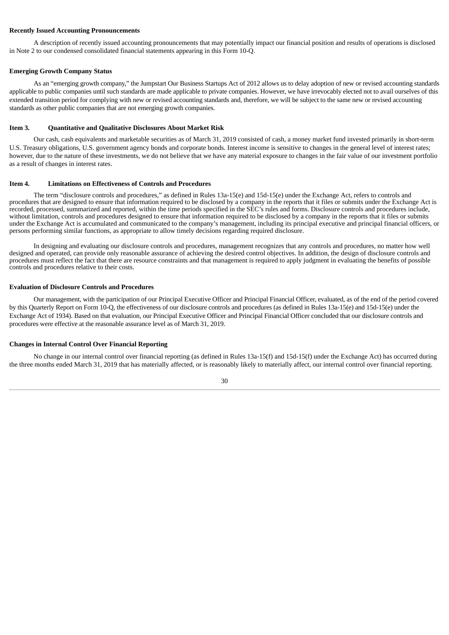#### **Recently Issued Accounting Pronouncements**

A description of recently issued accounting pronouncements that may potentially impact our financial position and results of operations is disclosed in Note 2 to our condensed consolidated financial statements appearing in this Form 10-Q.

#### **Emerging Growth Company Status**

As an "emerging growth company," the Jumpstart Our Business Startups Act of 2012 allows us to delay adoption of new or revised accounting standards applicable to public companies until such standards are made applicable to private companies. However, we have irrevocably elected not to avail ourselves of this extended transition period for complying with new or revised accounting standards and, therefore, we will be subject to the same new or revised accounting standards as other public companies that are not emerging growth companies.

# <span id="page-30-0"></span>**Item 3. Quantitative and Qualitative Disclosures About Market Risk**

Our cash, cash equivalents and marketable securities as of March 31, 2019 consisted of cash, a money market fund invested primarily in short-term U.S. Treasury obligations, U.S. government agency bonds and corporate bonds. Interest income is sensitive to changes in the general level of interest rates; however, due to the nature of these investments, we do not believe that we have any material exposure to changes in the fair value of our investment portfolio as a result of changes in interest rates.

#### <span id="page-30-1"></span>**Item 4. Limitations on Effectiveness of Controls and Procedures**

The term "disclosure controls and procedures," as defined in Rules 13a-15(e) and 15d-15(e) under the Exchange Act, refers to controls and procedures that are designed to ensure that information required to be disclosed by a company in the reports that it files or submits under the Exchange Act is recorded, processed, summarized and reported, within the time periods specified in the SEC's rules and forms. Disclosure controls and procedures include, without limitation, controls and procedures designed to ensure that information required to be disclosed by a company in the reports that it files or submits under the Exchange Act is accumulated and communicated to the company's management, including its principal executive and principal financial officers, or persons performing similar functions, as appropriate to allow timely decisions regarding required disclosure.

In designing and evaluating our disclosure controls and procedures, management recognizes that any controls and procedures, no matter how well designed and operated, can provide only reasonable assurance of achieving the desired control objectives. In addition, the design of disclosure controls and procedures must reflect the fact that there are resource constraints and that management is required to apply judgment in evaluating the benefits of possible controls and procedures relative to their costs.

#### **Evaluation of Disclosure Controls and Procedures**

Our management, with the participation of our Principal Executive Officer and Principal Financial Officer, evaluated, as of the end of the period covered by this Quarterly Report on Form 10-Q, the effectiveness of our disclosure controls and procedures (as defined in Rules 13a-15(e) and 15d-15(e) under the Exchange Act of 1934). Based on that evaluation, our Principal Executive Officer and Principal Financial Officer concluded that our disclosure controls and procedures were effective at the reasonable assurance level as of March 31, 2019.

### **Changes in Internal Control Over Financial Reporting**

No change in our internal control over financial reporting (as defined in Rules 13a-15(f) and 15d-15(f) under the Exchange Act) has occurred during the three months ended March 31, 2019 that has materially affected, or is reasonably likely to materially affect, our internal control over financial reporting.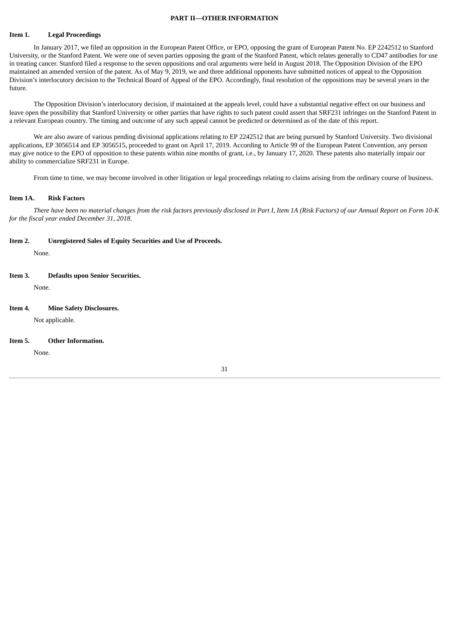### **PART II—OTHER INFORMATION**

### <span id="page-31-1"></span><span id="page-31-0"></span>**Item 1. Legal Proceedings**

In January 2017, we filed an opposition in the European Patent Office, or EPO, opposing the grant of European Patent No. EP 2242512 to Stanford University, or the Stanford Patent. We were one of seven parties opposing the grant of the Stanford Patent, which relates generally to CD47 antibodies for use in treating cancer. Stanford filed a response to the seven oppositions and oral arguments were held in August 2018. The Opposition Division of the EPO maintained an amended version of the patent. As of May 9, 2019, we and three additional opponents have submitted notices of appeal to the Opposition Division's interlocutory decision to the Technical Board of Appeal of the EPO. Accordingly, final resolution of the oppositions may be several years in the future.

The Opposition Division's interlocutory decision, if maintained at the appeals level, could have a substantial negative effect on our business and leave open the possibility that Stanford University or other parties that have rights to such patent could assert that SRF231 infringes on the Stanford Patent in a relevant European country. The timing and outcome of any such appeal cannot be predicted or determined as of the date of this report.

We are also aware of various pending divisional applications relating to EP 2242512 that are being pursued by Stanford University. Two divisional applications, EP 3056514 and EP 3056515, proceeded to grant on April 17, 2019. According to Article 99 of the European Patent Convention, any person may give notice to the EPO of opposition to these patents within nine months of grant, i.e., by January 17, 2020. These patents also materially impair our ability to commercialize SRF231 in Europe.

<span id="page-31-2"></span>From time to time, we may become involved in other litigation or legal proceedings relating to claims arising from the ordinary course of business.

## **Item 1A. Risk Factors**

There have been no material changes from the risk factors previously disclosed in Part I, Item 1A (Risk Factors) of our Annual Report on Form 10-K *for the fiscal year ended December 31, 2018*.

**Item 2. Unregistered Sales of Equity Securities and Use of Proceeds.**

<span id="page-31-3"></span>None.

# **Item 3. Defaults upon Senior Securities.**

<span id="page-31-4"></span>None.

### **Item 4. Mine Safety Disclosures.**

<span id="page-31-5"></span>Not applicable.

#### **Item 5. Other Information.**

<span id="page-31-6"></span>None.

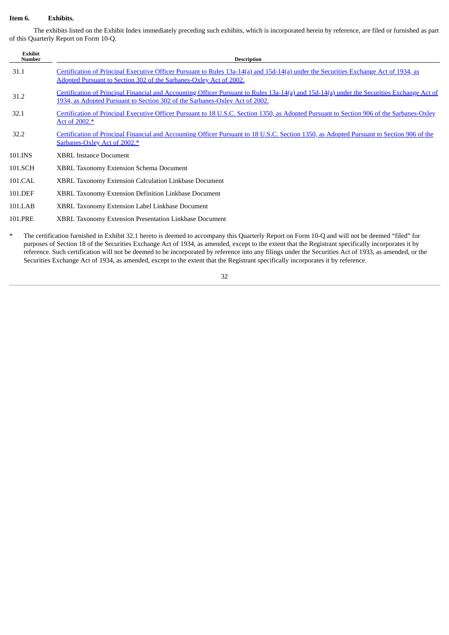# <span id="page-32-0"></span>**Item 6. Exhibits.**

The exhibits listed on the Exhibit Index immediately preceding such exhibits, which is incorporated herein by reference, are filed or furnished as part of this Quarterly Report on Form 10-Q.

| <b>Exhibit</b><br>Number | <b>Description</b>                                                                                                                                                                                                                                                                                                                                                                                                                                                                                                                                                                                                                                                      |
|--------------------------|-------------------------------------------------------------------------------------------------------------------------------------------------------------------------------------------------------------------------------------------------------------------------------------------------------------------------------------------------------------------------------------------------------------------------------------------------------------------------------------------------------------------------------------------------------------------------------------------------------------------------------------------------------------------------|
| 31.1                     | Certification of Principal Executive Officer Pursuant to Rules 13a-14(a) and 15d-14(a) under the Securities Exchange Act of 1934, as<br>Adopted Pursuant to Section 302 of the Sarbanes-Oxley Act of 2002.                                                                                                                                                                                                                                                                                                                                                                                                                                                              |
| 31.2                     | Certification of Principal Financial and Accounting Officer Pursuant to Rules 13a-14(a) and 15d-14(a) under the Securities Exchange Act of<br>1934, as Adopted Pursuant to Section 302 of the Sarbanes-Oxley Act of 2002.                                                                                                                                                                                                                                                                                                                                                                                                                                               |
| 32.1                     | Certification of Principal Executive Officer Pursuant to 18 U.S.C. Section 1350, as Adopted Pursuant to Section 906 of the Sarbanes-Oxley<br>Act of 2002.*                                                                                                                                                                                                                                                                                                                                                                                                                                                                                                              |
| 32.2                     | Certification of Principal Financial and Accounting Officer Pursuant to 18 U.S.C. Section 1350, as Adopted Pursuant to Section 906 of the<br>Sarbanes-Oxley Act of 2002.*                                                                                                                                                                                                                                                                                                                                                                                                                                                                                               |
| 101.INS                  | <b>XBRL Instance Document</b>                                                                                                                                                                                                                                                                                                                                                                                                                                                                                                                                                                                                                                           |
| 101.SCH                  | <b>XBRL Taxonomy Extension Schema Document</b>                                                                                                                                                                                                                                                                                                                                                                                                                                                                                                                                                                                                                          |
| 101.CAL                  | <b>XBRL Taxonomy Extension Calculation Linkbase Document</b>                                                                                                                                                                                                                                                                                                                                                                                                                                                                                                                                                                                                            |
| 101.DEF                  | <b>XBRL Taxonomy Extension Definition Linkbase Document</b>                                                                                                                                                                                                                                                                                                                                                                                                                                                                                                                                                                                                             |
| 101.LAB                  | XBRL Taxonomy Extension Label Linkbase Document                                                                                                                                                                                                                                                                                                                                                                                                                                                                                                                                                                                                                         |
| 101.PRE                  | XBRL Taxonomy Extension Presentation Linkbase Document                                                                                                                                                                                                                                                                                                                                                                                                                                                                                                                                                                                                                  |
|                          | $\mathbf{A} \cdot \mathbf{A}$ and $\mathbf{A} \cdot \mathbf{A}$ and $\mathbf{A} \cdot \mathbf{A}$ and $\mathbf{A} \cdot \mathbf{A}$ and $\mathbf{A} \cdot \mathbf{A}$ and $\mathbf{A} \cdot \mathbf{A}$<br>$\mathcal{L} = \mathcal{L} = \mathcal{L} = \mathcal{L} = \mathcal{L} = \mathcal{L} = \mathcal{L} = \mathcal{L} = \mathcal{L} = \mathcal{L} = \mathcal{L} = \mathcal{L} = \mathcal{L} = \mathcal{L} = \mathcal{L} = \mathcal{L} = \mathcal{L} = \mathcal{L} = \mathcal{L} = \mathcal{L} = \mathcal{L} = \mathcal{L} = \mathcal{L} = \mathcal{L} = \mathcal{L} = \mathcal{L} = \mathcal{L} = \mathcal{L} = \mathcal{L} = \mathcal{L} = \mathcal{L} = \mathcal$ |

The certification furnished in Exhibit 32.1 hereto is deemed to accompany this Quarterly Report on Form 10-Q and will not be deemed "filed" for purposes of Section 18 of the Securities Exchange Act of 1934, as amended, except to the extent that the Registrant specifically incorporates it by reference. Such certification will not be deemed to be incorporated by reference into any filings under the Securities Act of 1933, as amended, or the Securities Exchange Act of 1934, as amended, except to the extent that the Registrant specifically incorporates it by reference.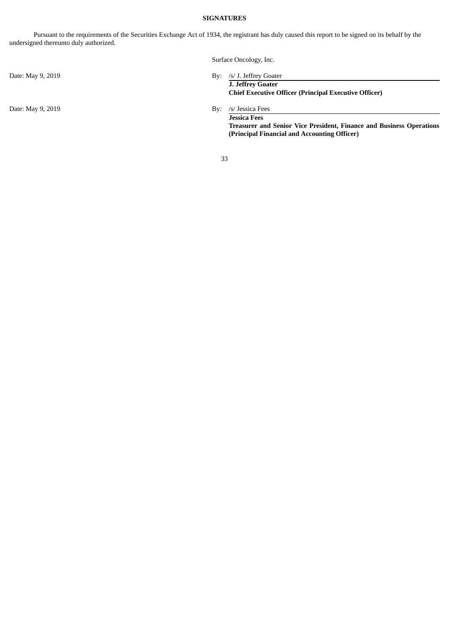# **SIGNATURES**

<span id="page-33-0"></span>Pursuant to the requirements of the Securities Exchange Act of 1934, the registrant has duly caused this report to be signed on its behalf by the undersigned thereunto duly authorized.

Surface Oncology, Inc.

**J. Jeffrey Goater Chief Executive Officer (Principal Executive Officer)**

**Jessica Fees Treasurer and Senior Vice President, Finance and Business Operations (Principal Financial and Accounting Officer)**

33

Date: May 9, 2019 By: /s/ J. Jeffrey Goater

Date: May 9, 2019 By: /s/ Jessica Fees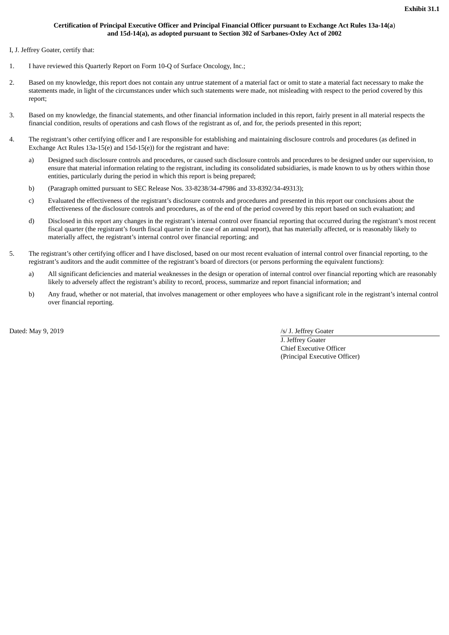# **Certification of Principal Executive Officer and Principal Financial Officer pursuant to Exchange Act Rules 13a-14(a**) **and 15d-14(a), as adopted pursuant to Section 302 of Sarbanes-Oxley Act of 2002**

<span id="page-34-0"></span>I, J. Jeffrey Goater, certify that:

- 1. I have reviewed this Quarterly Report on Form 10-Q of Surface Oncology, Inc.;
- 2. Based on my knowledge, this report does not contain any untrue statement of a material fact or omit to state a material fact necessary to make the statements made, in light of the circumstances under which such statements were made, not misleading with respect to the period covered by this report;
- 3. Based on my knowledge, the financial statements, and other financial information included in this report, fairly present in all material respects the financial condition, results of operations and cash flows of the registrant as of, and for, the periods presented in this report;
- 4. The registrant's other certifying officer and I are responsible for establishing and maintaining disclosure controls and procedures (as defined in Exchange Act Rules 13a-15(e) and 15d-15(e)) for the registrant and have:
	- a) Designed such disclosure controls and procedures, or caused such disclosure controls and procedures to be designed under our supervision, to ensure that material information relating to the registrant, including its consolidated subsidiaries, is made known to us by others within those entities, particularly during the period in which this report is being prepared;
	- b) (Paragraph omitted pursuant to SEC Release Nos. 33-8238/34-47986 and 33-8392/34-49313);
	- c) Evaluated the effectiveness of the registrant's disclosure controls and procedures and presented in this report our conclusions about the effectiveness of the disclosure controls and procedures, as of the end of the period covered by this report based on such evaluation; and
	- d) Disclosed in this report any changes in the registrant's internal control over financial reporting that occurred during the registrant's most recent fiscal quarter (the registrant's fourth fiscal quarter in the case of an annual report), that has materially affected, or is reasonably likely to materially affect, the registrant's internal control over financial reporting; and
- 5. The registrant's other certifying officer and I have disclosed, based on our most recent evaluation of internal control over financial reporting, to the registrant's auditors and the audit committee of the registrant's board of directors (or persons performing the equivalent functions):
	- a) All significant deficiencies and material weaknesses in the design or operation of internal control over financial reporting which are reasonably likely to adversely affect the registrant's ability to record, process, summarize and report financial information; and
	- b) Any fraud, whether or not material, that involves management or other employees who have a significant role in the registrant's internal control over financial reporting.

Dated: May 9, 2019 */s/ J. Jeffrey Goater* 

J. Jeffrey Goater Chief Executive Officer (Principal Executive Officer)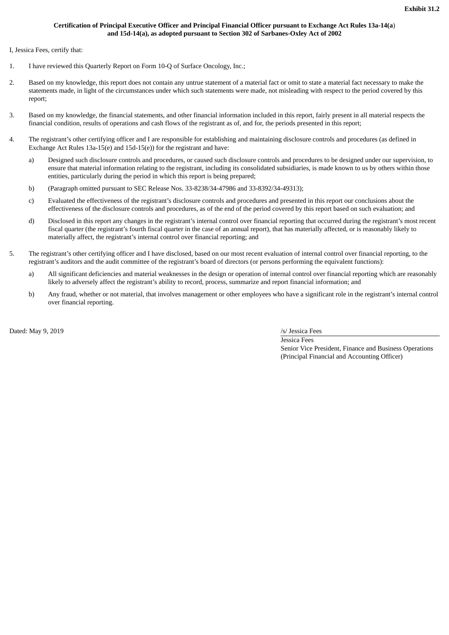# **Certification of Principal Executive Officer and Principal Financial Officer pursuant to Exchange Act Rules 13a-14(a**) **and 15d-14(a), as adopted pursuant to Section 302 of Sarbanes-Oxley Act of 2002**

<span id="page-35-0"></span>I, Jessica Fees, certify that:

- 1. I have reviewed this Quarterly Report on Form 10-Q of Surface Oncology, Inc.;
- 2. Based on my knowledge, this report does not contain any untrue statement of a material fact or omit to state a material fact necessary to make the statements made, in light of the circumstances under which such statements were made, not misleading with respect to the period covered by this report;
- 3. Based on my knowledge, the financial statements, and other financial information included in this report, fairly present in all material respects the financial condition, results of operations and cash flows of the registrant as of, and for, the periods presented in this report;
- 4. The registrant's other certifying officer and I are responsible for establishing and maintaining disclosure controls and procedures (as defined in Exchange Act Rules 13a-15(e) and 15d-15(e)) for the registrant and have:
	- a) Designed such disclosure controls and procedures, or caused such disclosure controls and procedures to be designed under our supervision, to ensure that material information relating to the registrant, including its consolidated subsidiaries, is made known to us by others within those entities, particularly during the period in which this report is being prepared;
	- b) (Paragraph omitted pursuant to SEC Release Nos. 33-8238/34-47986 and 33-8392/34-49313);
	- c) Evaluated the effectiveness of the registrant's disclosure controls and procedures and presented in this report our conclusions about the effectiveness of the disclosure controls and procedures, as of the end of the period covered by this report based on such evaluation; and
	- d) Disclosed in this report any changes in the registrant's internal control over financial reporting that occurred during the registrant's most recent fiscal quarter (the registrant's fourth fiscal quarter in the case of an annual report), that has materially affected, or is reasonably likely to materially affect, the registrant's internal control over financial reporting; and
- 5. The registrant's other certifying officer and I have disclosed, based on our most recent evaluation of internal control over financial reporting, to the registrant's auditors and the audit committee of the registrant's board of directors (or persons performing the equivalent functions):
	- a) All significant deficiencies and material weaknesses in the design or operation of internal control over financial reporting which are reasonably likely to adversely affect the registrant's ability to record, process, summarize and report financial information; and
	- b) Any fraud, whether or not material, that involves management or other employees who have a significant role in the registrant's internal control over financial reporting.

Dated: May 9, 2019 */s/ Jessica Fees /s/ Jessica Fees /s/ Jessica Fees* 

Jessica Fees Senior Vice President, Finance and Business Operations (Principal Financial and Accounting Officer)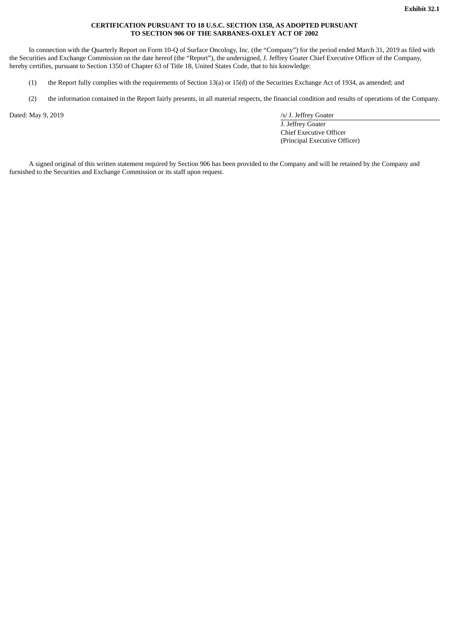# **CERTIFICATION PURSUANT TO 18 U.S.C. SECTION 1350, AS ADOPTED PURSUANT TO SECTION 906 OF THE SARBANES-OXLEY ACT OF 2002**

<span id="page-36-0"></span>In connection with the Quarterly Report on Form 10-Q of Surface Oncology, Inc. (the "Company") for the period ended March 31, 2019 as filed with the Securities and Exchange Commission on the date hereof (the "Report"), the undersigned, J. Jeffrey Goater Chief Executive Officer of the Company, hereby certifies, pursuant to Section 1350 of Chapter 63 of Title 18, United States Code, that to his knowledge:

- (1) the Report fully complies with the requirements of Section 13(a) or 15(d) of the Securities Exchange Act of 1934, as amended; and
- (2) the information contained in the Report fairly presents, in all material respects, the financial condition and results of operations of the Company.

Dated: May 9, 2019 */s/ J. Jeffrey Goater* 

J. Jeffrey Goater Chief Executive Officer (Principal Executive Officer)

A signed original of this written statement required by Section 906 has been provided to the Company and will be retained by the Company and furnished to the Securities and Exchange Commission or its staff upon request.